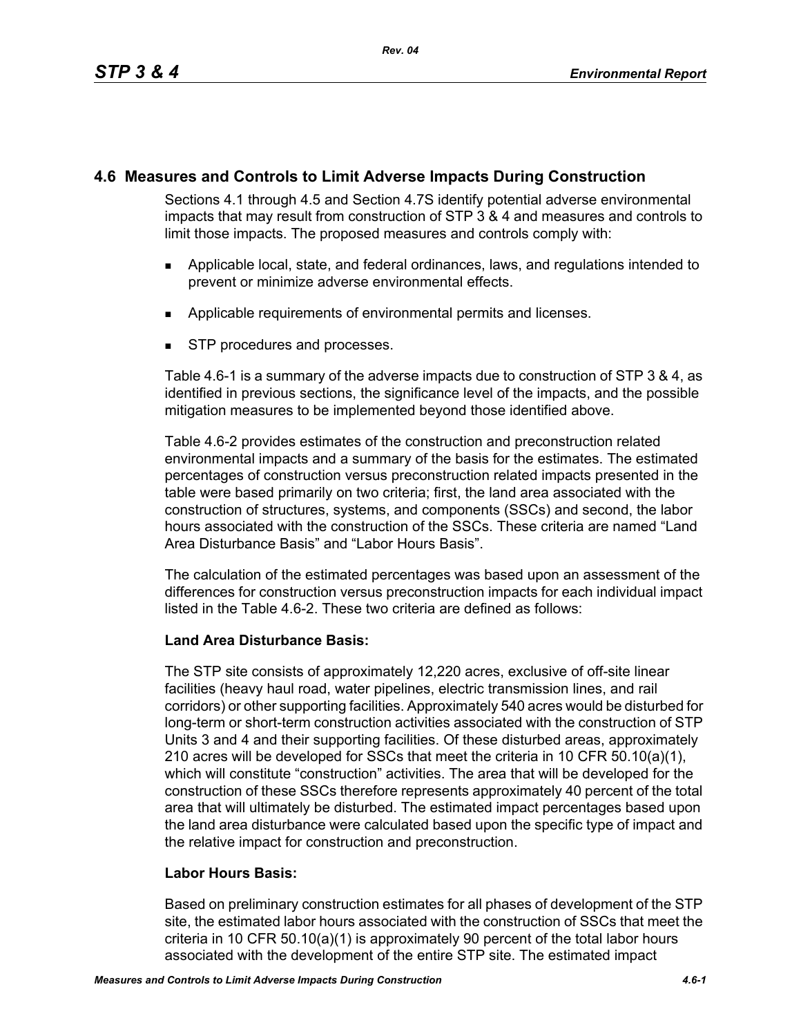# **4.6 Measures and Controls to Limit Adverse Impacts During Construction**

Sections 4.1 through 4.5 and Section 4.7S identify potential adverse environmental impacts that may result from construction of STP 3 & 4 and measures and controls to limit those impacts. The proposed measures and controls comply with:

- Applicable local, state, and federal ordinances, laws, and regulations intended to prevent or minimize adverse environmental effects.
- **Applicable requirements of environmental permits and licenses.**
- **STP** procedures and processes.

Table 4.6-1 is a summary of the adverse impacts due to construction of STP 3 & 4, as identified in previous sections, the significance level of the impacts, and the possible mitigation measures to be implemented beyond those identified above.

Table 4.6-2 provides estimates of the construction and preconstruction related environmental impacts and a summary of the basis for the estimates. The estimated percentages of construction versus preconstruction related impacts presented in the table were based primarily on two criteria; first, the land area associated with the construction of structures, systems, and components (SSCs) and second, the labor hours associated with the construction of the SSCs. These criteria are named "Land Area Disturbance Basis" and "Labor Hours Basis".

The calculation of the estimated percentages was based upon an assessment of the differences for construction versus preconstruction impacts for each individual impact listed in the Table 4.6-2. These two criteria are defined as follows:

# **Land Area Disturbance Basis:**

The STP site consists of approximately 12,220 acres, exclusive of off-site linear facilities (heavy haul road, water pipelines, electric transmission lines, and rail corridors) or other supporting facilities. Approximately 540 acres would be disturbed for long-term or short-term construction activities associated with the construction of STP Units 3 and 4 and their supporting facilities. Of these disturbed areas, approximately 210 acres will be developed for SSCs that meet the criteria in 10 CFR 50.10(a)(1), which will constitute "construction" activities. The area that will be developed for the construction of these SSCs therefore represents approximately 40 percent of the total area that will ultimately be disturbed. The estimated impact percentages based upon the land area disturbance were calculated based upon the specific type of impact and the relative impact for construction and preconstruction.

# **Labor Hours Basis:**

Based on preliminary construction estimates for all phases of development of the STP site, the estimated labor hours associated with the construction of SSCs that meet the criteria in 10 CFR 50.10(a)(1) is approximately 90 percent of the total labor hours associated with the development of the entire STP site. The estimated impact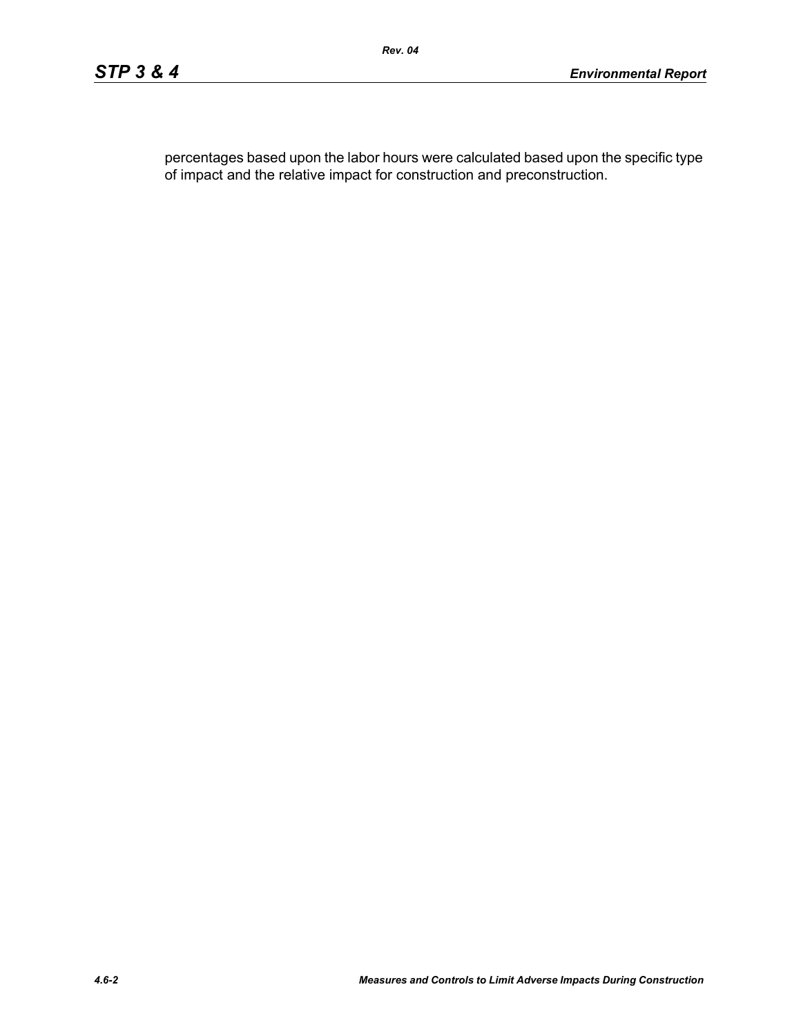percentages based upon the labor hours were calculated based upon the specific type of impact and the relative impact for construction and preconstruction.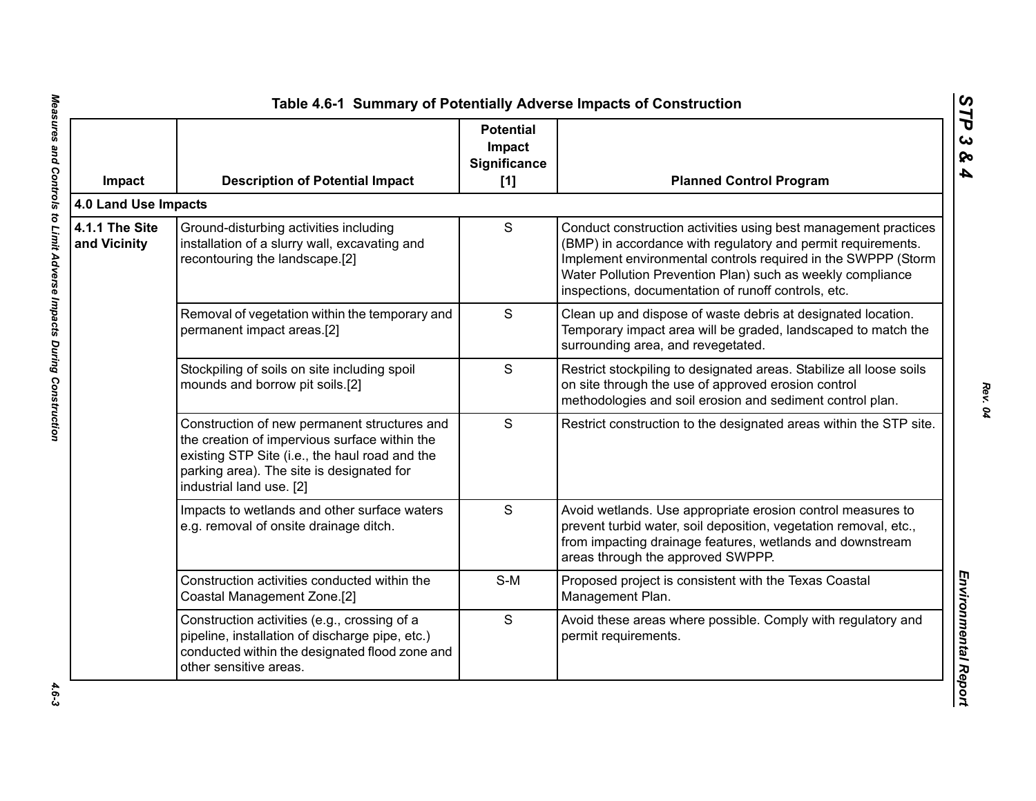| Impact                         | <b>Description of Potential Impact</b>                                                                                                                                                                                   | <b>Potential</b><br>Impact<br>Significance<br>$[1]$ | <b>Planned Control Program</b>                                                                                                                                                                                                                                                                                        |
|--------------------------------|--------------------------------------------------------------------------------------------------------------------------------------------------------------------------------------------------------------------------|-----------------------------------------------------|-----------------------------------------------------------------------------------------------------------------------------------------------------------------------------------------------------------------------------------------------------------------------------------------------------------------------|
| 4.0 Land Use Impacts           |                                                                                                                                                                                                                          |                                                     |                                                                                                                                                                                                                                                                                                                       |
| 4.1.1 The Site<br>and Vicinity | Ground-disturbing activities including<br>installation of a slurry wall, excavating and<br>recontouring the landscape.[2]                                                                                                | S                                                   | Conduct construction activities using best management practices<br>(BMP) in accordance with regulatory and permit requirements.<br>Implement environmental controls required in the SWPPP (Storm<br>Water Pollution Prevention Plan) such as weekly compliance<br>inspections, documentation of runoff controls, etc. |
|                                | Removal of vegetation within the temporary and<br>permanent impact areas.[2]                                                                                                                                             | S                                                   | Clean up and dispose of waste debris at designated location.<br>Temporary impact area will be graded, landscaped to match the<br>surrounding area, and revegetated.                                                                                                                                                   |
|                                | Stockpiling of soils on site including spoil<br>mounds and borrow pit soils.[2]                                                                                                                                          | $\mathsf S$                                         | Restrict stockpiling to designated areas. Stabilize all loose soils<br>on site through the use of approved erosion control<br>methodologies and soil erosion and sediment control plan.                                                                                                                               |
|                                | Construction of new permanent structures and<br>the creation of impervious surface within the<br>existing STP Site (i.e., the haul road and the<br>parking area). The site is designated for<br>industrial land use. [2] | $\mathsf S$                                         | Restrict construction to the designated areas within the STP site.                                                                                                                                                                                                                                                    |
|                                | Impacts to wetlands and other surface waters<br>e.g. removal of onsite drainage ditch.                                                                                                                                   | S                                                   | Avoid wetlands. Use appropriate erosion control measures to<br>prevent turbid water, soil deposition, vegetation removal, etc.,<br>from impacting drainage features, wetlands and downstream<br>areas through the approved SWPPP.                                                                                     |
|                                | Construction activities conducted within the<br>Coastal Management Zone.[2]                                                                                                                                              | $S-M$                                               | Proposed project is consistent with the Texas Coastal<br>Management Plan.                                                                                                                                                                                                                                             |
|                                | Construction activities (e.g., crossing of a<br>pipeline, installation of discharge pipe, etc.)<br>conducted within the designated flood zone and<br>other sensitive areas.                                              | $\mathsf S$                                         | Avoid these areas where possible. Comply with regulatory and<br>permit requirements.                                                                                                                                                                                                                                  |

*STP 3 & 4*

*Rev. 04*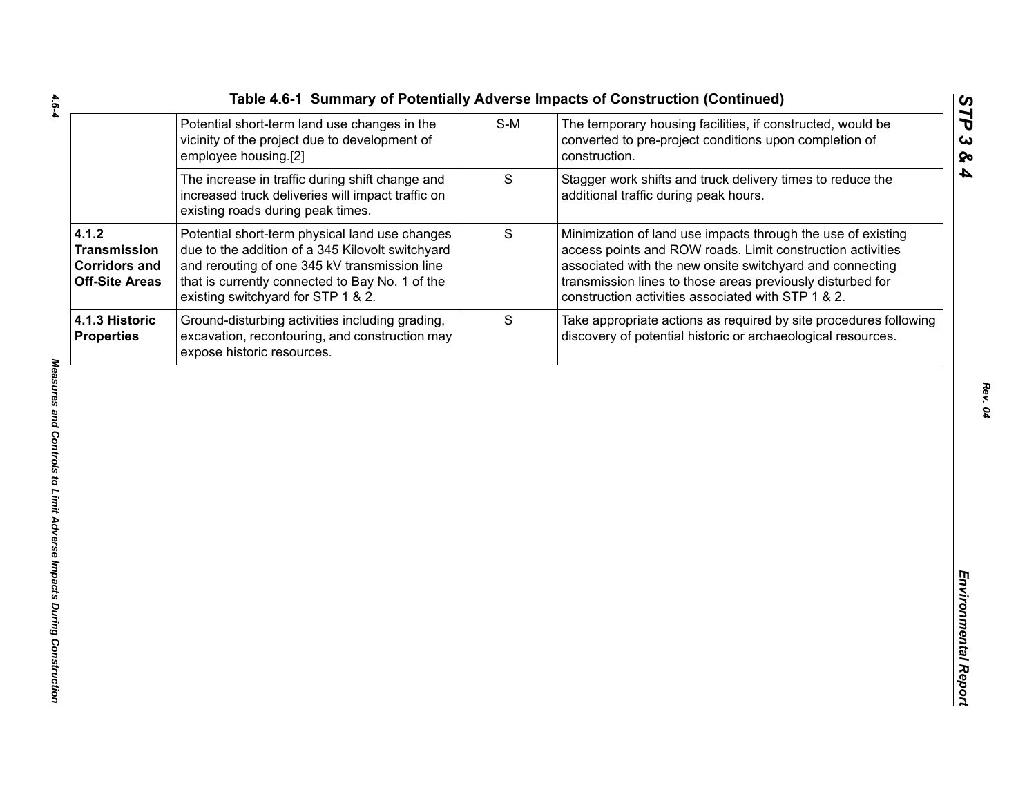| Table 4.6-1 Summary of Potentially Adverse Impacts of Construction (Continued) |     |                                                                                 |
|--------------------------------------------------------------------------------|-----|---------------------------------------------------------------------------------|
| Potential short-term land use changes in the                                   | S-M | The temporary housing facilities, if constructed                                |
| المعامل ومعامرها ويبادلوا والمساوية والمستحدث والمترافي والمتحاولات            |     | المتحديد والمتحامين والمستحللة المتحامية والمتحدد والمستحدث والمستحدث والمستحدث |

|                                                                               | Potential short-term land use changes in the<br>vicinity of the project due to development of<br>employee housing.[2]                                                                                                                        | $S-M$       | The temporary housing facilities, if constructed, would be<br>converted to pre-project conditions upon completion of<br>construction.                                                                                                                                                                      |
|-------------------------------------------------------------------------------|----------------------------------------------------------------------------------------------------------------------------------------------------------------------------------------------------------------------------------------------|-------------|------------------------------------------------------------------------------------------------------------------------------------------------------------------------------------------------------------------------------------------------------------------------------------------------------------|
|                                                                               | The increase in traffic during shift change and<br>increased truck deliveries will impact traffic on<br>existing roads during peak times.                                                                                                    | S           | Stagger work shifts and truck delivery times to reduce the<br>additional traffic during peak hours.                                                                                                                                                                                                        |
| 4.1.2<br><b>Transmission</b><br><b>Corridors and</b><br><b>Off-Site Areas</b> | Potential short-term physical land use changes<br>due to the addition of a 345 Kilovolt switchyard<br>and rerouting of one 345 kV transmission line<br>that is currently connected to Bay No. 1 of the<br>existing switchyard for STP 1 & 2. | $\mathsf S$ | Minimization of land use impacts through the use of existing<br>access points and ROW roads. Limit construction activities<br>associated with the new onsite switchyard and connecting<br>transmission lines to those areas previously disturbed for<br>construction activities associated with STP 1 & 2. |
| 4.1.3 Historic<br><b>Properties</b>                                           | Ground-disturbing activities including grading,<br>excavation, recontouring, and construction may<br>expose historic resources.                                                                                                              | S           | Take appropriate actions as required by site procedures following<br>discovery of potential historic or archaeological resources.                                                                                                                                                                          |
|                                                                               |                                                                                                                                                                                                                                              |             |                                                                                                                                                                                                                                                                                                            |
|                                                                               |                                                                                                                                                                                                                                              |             |                                                                                                                                                                                                                                                                                                            |
|                                                                               |                                                                                                                                                                                                                                              |             |                                                                                                                                                                                                                                                                                                            |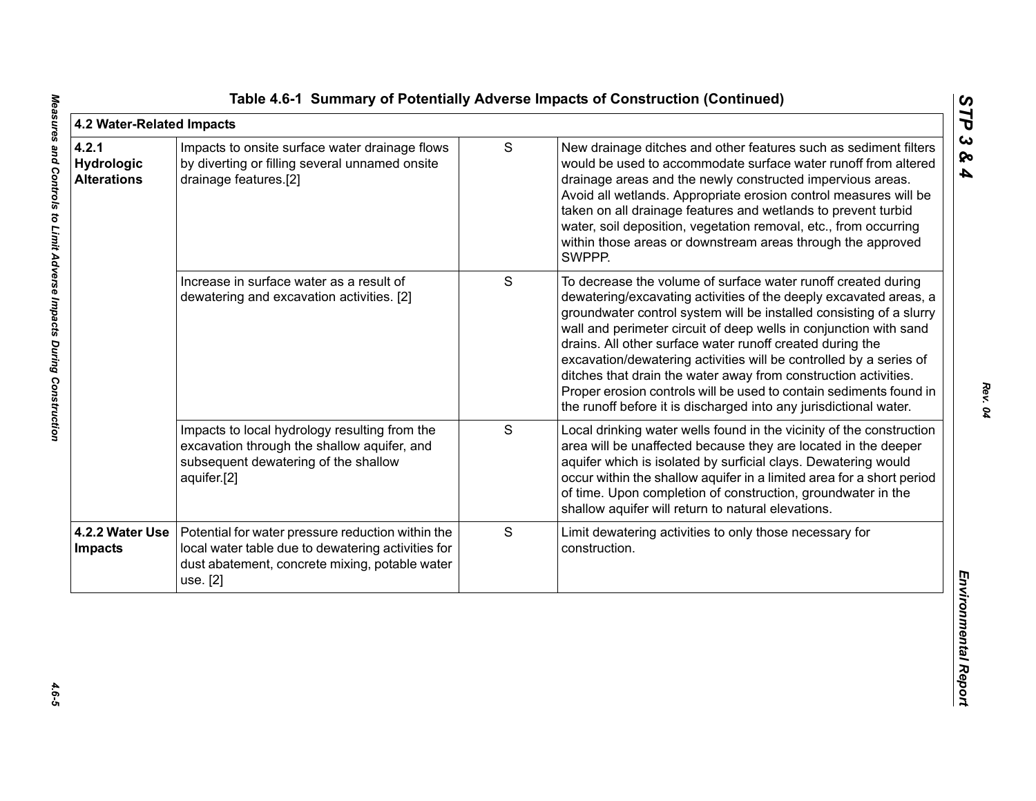| 4.2 Water-Related Impacts                 |                                                                                                                                                                       |   |                                                                                                                                                                                                                                                                                                                                                                                                                                                                                                                                                                                                                                 | STP                               |
|-------------------------------------------|-----------------------------------------------------------------------------------------------------------------------------------------------------------------------|---|---------------------------------------------------------------------------------------------------------------------------------------------------------------------------------------------------------------------------------------------------------------------------------------------------------------------------------------------------------------------------------------------------------------------------------------------------------------------------------------------------------------------------------------------------------------------------------------------------------------------------------|-----------------------------------|
| 4.2.1<br>Hydrologic<br><b>Alterations</b> | Impacts to onsite surface water drainage flows<br>by diverting or filling several unnamed onsite<br>drainage features.[2]                                             | S | New drainage ditches and other features such as sediment filters<br>would be used to accommodate surface water runoff from altered<br>drainage areas and the newly constructed impervious areas.<br>Avoid all wetlands. Appropriate erosion control measures will be<br>taken on all drainage features and wetlands to prevent turbid<br>water, soil deposition, vegetation removal, etc., from occurring<br>within those areas or downstream areas through the approved<br>SWPPP.                                                                                                                                              | $\boldsymbol{\omega}$<br>ଚ୍ଚ<br>4 |
|                                           | Increase in surface water as a result of<br>dewatering and excavation activities. [2]                                                                                 | S | To decrease the volume of surface water runoff created during<br>dewatering/excavating activities of the deeply excavated areas, a<br>groundwater control system will be installed consisting of a slurry<br>wall and perimeter circuit of deep wells in conjunction with sand<br>drains. All other surface water runoff created during the<br>excavation/dewatering activities will be controlled by a series of<br>ditches that drain the water away from construction activities.<br>Proper erosion controls will be used to contain sediments found in<br>the runoff before it is discharged into any jurisdictional water. |                                   |
|                                           | Impacts to local hydrology resulting from the<br>excavation through the shallow aquifer, and<br>subsequent dewatering of the shallow<br>aquifer.[2]                   | S | Local drinking water wells found in the vicinity of the construction<br>area will be unaffected because they are located in the deeper<br>aquifer which is isolated by surficial clays. Dewatering would<br>occur within the shallow aquifer in a limited area for a short period<br>of time. Upon completion of construction, groundwater in the<br>shallow aquifer will return to natural elevations.                                                                                                                                                                                                                         |                                   |
| 4.2.2 Water Use<br><b>Impacts</b>         | Potential for water pressure reduction within the<br>local water table due to dewatering activities for<br>dust abatement, concrete mixing, potable water<br>use. [2] | S | Limit dewatering activities to only those necessary for<br>construction.                                                                                                                                                                                                                                                                                                                                                                                                                                                                                                                                                        | Environmental Repor               |
|                                           |                                                                                                                                                                       |   |                                                                                                                                                                                                                                                                                                                                                                                                                                                                                                                                                                                                                                 |                                   |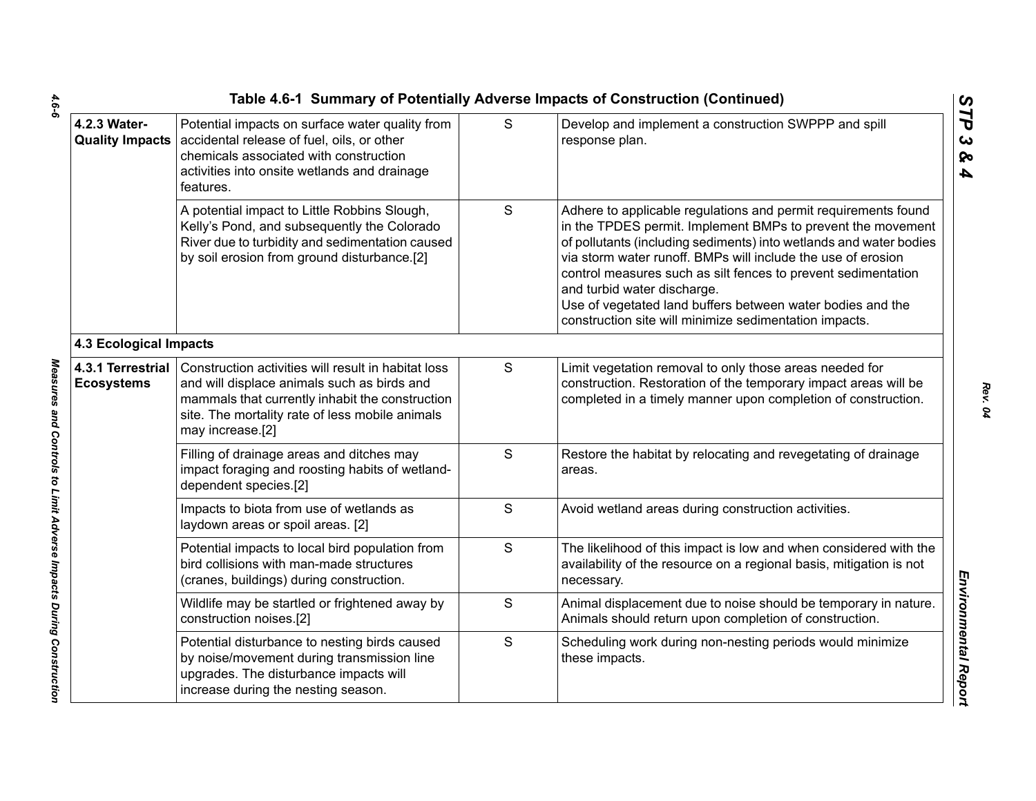|                                        |                                                                                                                                                                                                                              |   | Table 4.6-1 Summary of Potentially Adverse Impacts of Construction (Continued)                                                                                                                                                                                                                                                                                                                                                                                                              |
|----------------------------------------|------------------------------------------------------------------------------------------------------------------------------------------------------------------------------------------------------------------------------|---|---------------------------------------------------------------------------------------------------------------------------------------------------------------------------------------------------------------------------------------------------------------------------------------------------------------------------------------------------------------------------------------------------------------------------------------------------------------------------------------------|
| 4.2.3 Water-                           | Potential impacts on surface water quality from<br>Quality Impacts   accidental release of fuel, oils, or other<br>chemicals associated with construction<br>activities into onsite wetlands and drainage<br>features.       | S | Develop and implement a construction SWPPP and spill<br>response plan.                                                                                                                                                                                                                                                                                                                                                                                                                      |
|                                        | A potential impact to Little Robbins Slough,<br>Kelly's Pond, and subsequently the Colorado<br>River due to turbidity and sedimentation caused<br>by soil erosion from ground disturbance.[2]                                | S | Adhere to applicable regulations and permit requirements found<br>in the TPDES permit. Implement BMPs to prevent the movement<br>of pollutants (including sediments) into wetlands and water bodies<br>via storm water runoff. BMPs will include the use of erosion<br>control measures such as silt fences to prevent sedimentation<br>and turbid water discharge.<br>Use of vegetated land buffers between water bodies and the<br>construction site will minimize sedimentation impacts. |
| <b>4.3 Ecological Impacts</b>          |                                                                                                                                                                                                                              |   |                                                                                                                                                                                                                                                                                                                                                                                                                                                                                             |
| 4.3.1 Terrestrial<br><b>Ecosystems</b> | Construction activities will result in habitat loss<br>and will displace animals such as birds and<br>mammals that currently inhabit the construction<br>site. The mortality rate of less mobile animals<br>may increase.[2] | S | Limit vegetation removal to only those areas needed for<br>construction. Restoration of the temporary impact areas will be<br>completed in a timely manner upon completion of construction.                                                                                                                                                                                                                                                                                                 |
|                                        | Filling of drainage areas and ditches may<br>impact foraging and roosting habits of wetland-<br>dependent species.[2]                                                                                                        | S | Restore the habitat by relocating and revegetating of drainage<br>areas.                                                                                                                                                                                                                                                                                                                                                                                                                    |
|                                        | Impacts to biota from use of wetlands as<br>laydown areas or spoil areas. [2]                                                                                                                                                | S | Avoid wetland areas during construction activities.                                                                                                                                                                                                                                                                                                                                                                                                                                         |
|                                        | Potential impacts to local bird population from<br>bird collisions with man-made structures<br>(cranes, buildings) during construction.                                                                                      | S | The likelihood of this impact is low and when considered with the<br>availability of the resource on a regional basis, mitigation is not<br>necessary.                                                                                                                                                                                                                                                                                                                                      |
|                                        | Wildlife may be startled or frightened away by<br>construction noises.[2]                                                                                                                                                    | S | Animal displacement due to noise should be temporary in nature.<br>Animals should return upon completion of construction.                                                                                                                                                                                                                                                                                                                                                                   |
|                                        | Potential disturbance to nesting birds caused<br>by noise/movement during transmission line<br>upgrades. The disturbance impacts will<br>increase during the nesting season.                                                 | S | Scheduling work during non-nesting periods would minimize<br>these impacts.                                                                                                                                                                                                                                                                                                                                                                                                                 |
|                                        |                                                                                                                                                                                                                              |   |                                                                                                                                                                                                                                                                                                                                                                                                                                                                                             |

 $4.6 - 6$ *4.6-6 Measures and Controls to Limit Adverse Impacts During Construction* 

Measures and Controls to Limit Adverse Impacts During Construction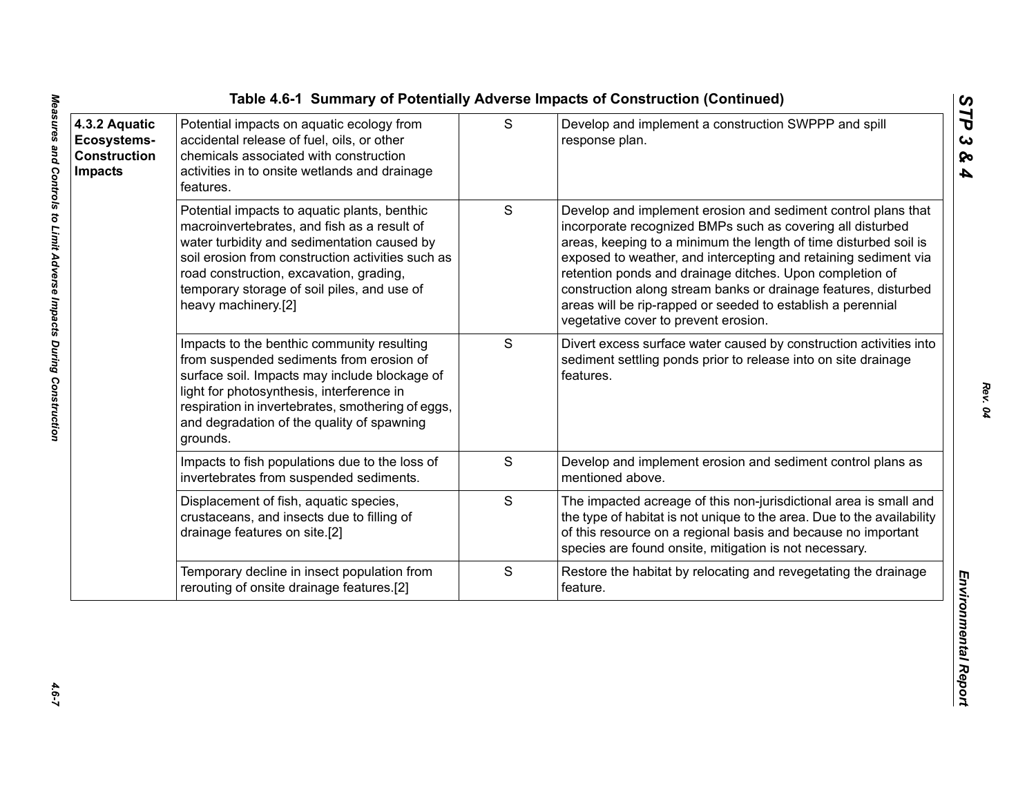| 4.3.2 Aquatic<br>Ecosystems-<br><b>Construction</b><br><b>Impacts</b> | Potential impacts on aquatic ecology from<br>accidental release of fuel, oils, or other<br>chemicals associated with construction<br>activities in to onsite wetlands and drainage<br>features.                                                                                                                  | S             | Develop and implement a construction SWPPP and spill<br>response plan.                                                                                                                                                                                                                                                                                                                                                                                                                                   |
|-----------------------------------------------------------------------|------------------------------------------------------------------------------------------------------------------------------------------------------------------------------------------------------------------------------------------------------------------------------------------------------------------|---------------|----------------------------------------------------------------------------------------------------------------------------------------------------------------------------------------------------------------------------------------------------------------------------------------------------------------------------------------------------------------------------------------------------------------------------------------------------------------------------------------------------------|
|                                                                       | Potential impacts to aquatic plants, benthic<br>macroinvertebrates, and fish as a result of<br>water turbidity and sedimentation caused by<br>soil erosion from construction activities such as<br>road construction, excavation, grading,<br>temporary storage of soil piles, and use of<br>heavy machinery.[2] | ${\mathsf S}$ | Develop and implement erosion and sediment control plans that<br>incorporate recognized BMPs such as covering all disturbed<br>areas, keeping to a minimum the length of time disturbed soil is<br>exposed to weather, and intercepting and retaining sediment via<br>retention ponds and drainage ditches. Upon completion of<br>construction along stream banks or drainage features, disturbed<br>areas will be rip-rapped or seeded to establish a perennial<br>vegetative cover to prevent erosion. |
|                                                                       | Impacts to the benthic community resulting<br>from suspended sediments from erosion of<br>surface soil. Impacts may include blockage of<br>light for photosynthesis, interference in<br>respiration in invertebrates, smothering of eggs,<br>and degradation of the quality of spawning<br>grounds.              | S             | Divert excess surface water caused by construction activities into<br>sediment settling ponds prior to release into on site drainage<br>features.                                                                                                                                                                                                                                                                                                                                                        |
|                                                                       | Impacts to fish populations due to the loss of<br>invertebrates from suspended sediments.                                                                                                                                                                                                                        | S             | Develop and implement erosion and sediment control plans as<br>mentioned above.                                                                                                                                                                                                                                                                                                                                                                                                                          |
|                                                                       | Displacement of fish, aquatic species,<br>crustaceans, and insects due to filling of<br>drainage features on site.[2]                                                                                                                                                                                            | S             | The impacted acreage of this non-jurisdictional area is small and<br>the type of habitat is not unique to the area. Due to the availability<br>of this resource on a regional basis and because no important<br>species are found onsite, mitigation is not necessary.                                                                                                                                                                                                                                   |
|                                                                       | Temporary decline in insect population from<br>rerouting of onsite drainage features.[2]                                                                                                                                                                                                                         | $\mathbf S$   | Restore the habitat by relocating and revegetating the drainage<br>feature.                                                                                                                                                                                                                                                                                                                                                                                                                              |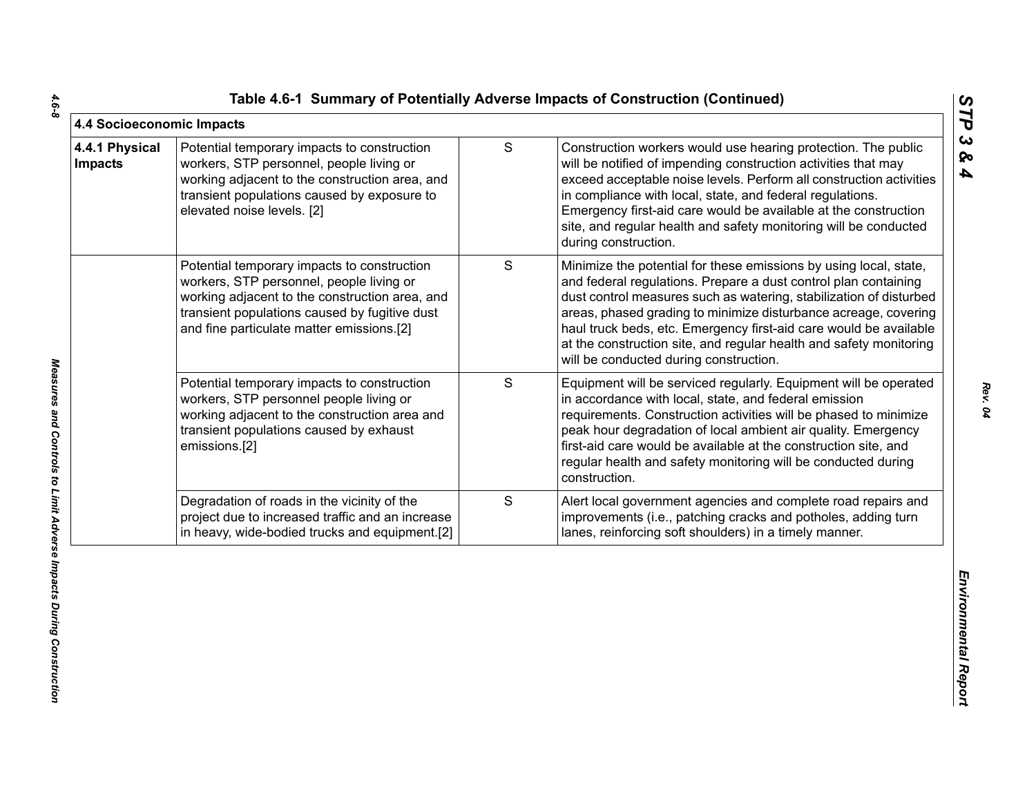|  |  | Table 4.6-1 Summary of Potentially Adverse Impacts of Construction (Continued) |  |  |  |  |
|--|--|--------------------------------------------------------------------------------|--|--|--|--|
|--|--|--------------------------------------------------------------------------------|--|--|--|--|

| 4.4 Socioeconomic Impacts        |                                                                                                                                                                                                                                         |               |                                                                                                                                                                                                                                                                                                                                                                                                                                                                    | STP                                            |
|----------------------------------|-----------------------------------------------------------------------------------------------------------------------------------------------------------------------------------------------------------------------------------------|---------------|--------------------------------------------------------------------------------------------------------------------------------------------------------------------------------------------------------------------------------------------------------------------------------------------------------------------------------------------------------------------------------------------------------------------------------------------------------------------|------------------------------------------------|
| 4.4.1 Physical<br><b>Impacts</b> | Potential temporary impacts to construction<br>workers, STP personnel, people living or<br>working adjacent to the construction area, and<br>transient populations caused by exposure to<br>elevated noise levels. [2]                  | ${\mathsf S}$ | Construction workers would use hearing protection. The public<br>will be notified of impending construction activities that may<br>exceed acceptable noise levels. Perform all construction activities<br>in compliance with local, state, and federal regulations.<br>Emergency first-aid care would be available at the construction<br>site, and regular health and safety monitoring will be conducted<br>during construction.                                 | $\boldsymbol{\omega}$<br>ବ<br>$\blacktriangle$ |
|                                  | Potential temporary impacts to construction<br>workers, STP personnel, people living or<br>working adjacent to the construction area, and<br>transient populations caused by fugitive dust<br>and fine particulate matter emissions.[2] | S             | Minimize the potential for these emissions by using local, state,<br>and federal regulations. Prepare a dust control plan containing<br>dust control measures such as watering, stabilization of disturbed<br>areas, phased grading to minimize disturbance acreage, covering<br>haul truck beds, etc. Emergency first-aid care would be available<br>at the construction site, and regular health and safety monitoring<br>will be conducted during construction. |                                                |
|                                  | Potential temporary impacts to construction<br>workers, STP personnel people living or<br>working adjacent to the construction area and<br>transient populations caused by exhaust<br>emissions.[2]                                     | S             | Equipment will be serviced regularly. Equipment will be operated<br>in accordance with local, state, and federal emission<br>requirements. Construction activities will be phased to minimize<br>peak hour degradation of local ambient air quality. Emergency<br>first-aid care would be available at the construction site, and<br>regular health and safety monitoring will be conducted during<br>construction.                                                |                                                |
|                                  | Degradation of roads in the vicinity of the<br>project due to increased traffic and an increase<br>in heavy, wide-bodied trucks and equipment.[2]                                                                                       | S             | Alert local government agencies and complete road repairs and<br>improvements (i.e., patching cracks and potholes, adding turn<br>lanes, reinforcing soft shoulders) in a timely manner.                                                                                                                                                                                                                                                                           |                                                |
|                                  |                                                                                                                                                                                                                                         |               |                                                                                                                                                                                                                                                                                                                                                                                                                                                                    | Environmental Report                           |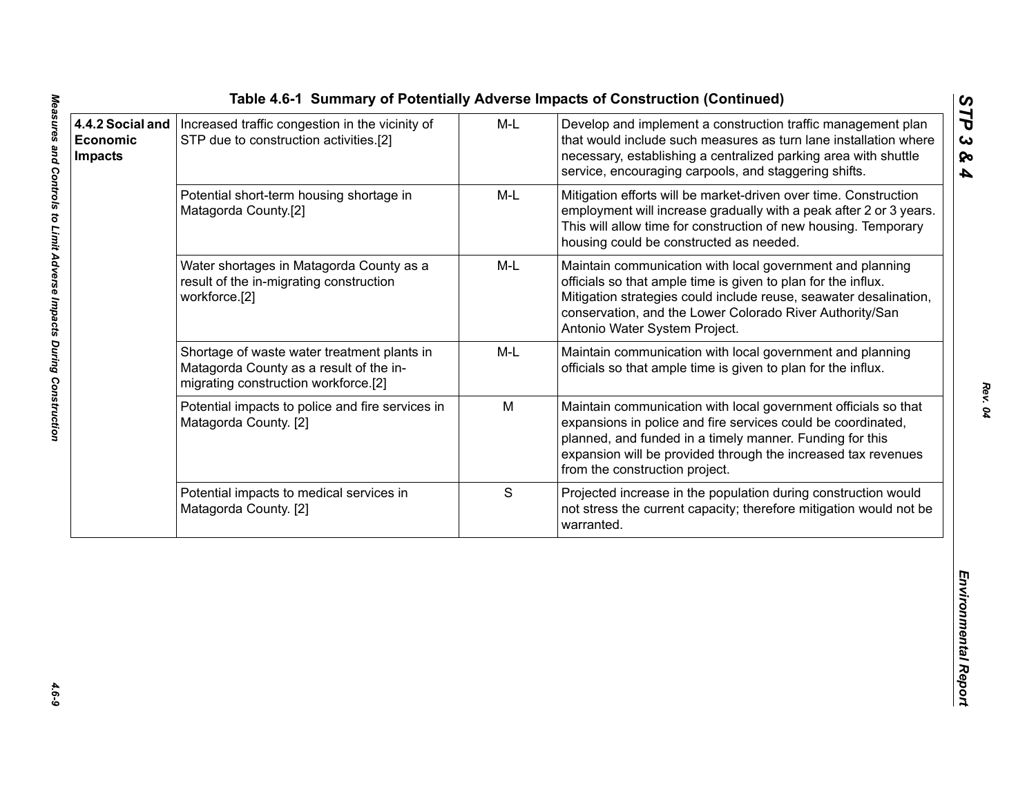|                                                       |                                                                                                                                |       | Table 4.6-1 Summary of Potentially Adverse Impacts of Construction (Continued)                                                                                                                                                                                                                |                                          |
|-------------------------------------------------------|--------------------------------------------------------------------------------------------------------------------------------|-------|-----------------------------------------------------------------------------------------------------------------------------------------------------------------------------------------------------------------------------------------------------------------------------------------------|------------------------------------------|
| 4.4.2 Social and<br><b>Economic</b><br><b>Impacts</b> | Increased traffic congestion in the vicinity of<br>STP due to construction activities.[2]                                      | $M-L$ | Develop and implement a construction traffic management plan<br>that would include such measures as turn lane installation where<br>necessary, establishing a centralized parking area with shuttle<br>service, encouraging carpools, and staggering shifts.                                  | STP<br>$\boldsymbol{\omega}$<br>ନ୍ତ<br>4 |
|                                                       | Potential short-term housing shortage in<br>Matagorda County.[2]                                                               | M-L   | Mitigation efforts will be market-driven over time. Construction<br>employment will increase gradually with a peak after 2 or 3 years.<br>This will allow time for construction of new housing. Temporary<br>housing could be constructed as needed.                                          |                                          |
|                                                       | Water shortages in Matagorda County as a<br>result of the in-migrating construction<br>workforce.[2]                           | M-L   | Maintain communication with local government and planning<br>officials so that ample time is given to plan for the influx.<br>Mitigation strategies could include reuse, seawater desalination,<br>conservation, and the Lower Colorado River Authority/San<br>Antonio Water System Project.  |                                          |
|                                                       | Shortage of waste water treatment plants in<br>Matagorda County as a result of the in-<br>migrating construction workforce.[2] | M-L   | Maintain communication with local government and planning<br>officials so that ample time is given to plan for the influx.                                                                                                                                                                    |                                          |
|                                                       | Potential impacts to police and fire services in<br>Matagorda County. [2]                                                      | M     | Maintain communication with local government officials so that<br>expansions in police and fire services could be coordinated,<br>planned, and funded in a timely manner. Funding for this<br>expansion will be provided through the increased tax revenues<br>from the construction project. |                                          |
|                                                       | Potential impacts to medical services in<br>Matagorda County. [2]                                                              | S     | Projected increase in the population during construction would<br>not stress the current capacity; therefore mitigation would not be<br>warranted.                                                                                                                                            |                                          |
|                                                       |                                                                                                                                |       |                                                                                                                                                                                                                                                                                               | Environmental Report                     |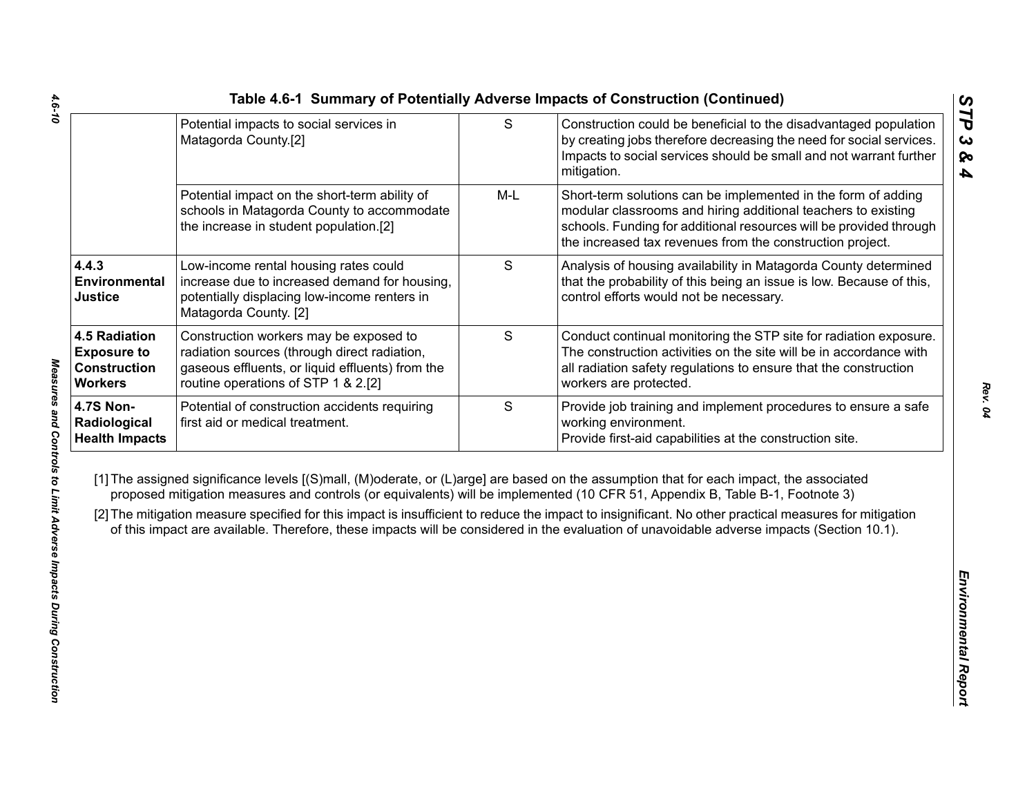|                                                                                     | Potential impacts to social services in<br>Matagorda County.[2]                                                                                                                   | $\mathsf{S}$ | Construction could be beneficial to the disadvantaged population<br>by creating jobs therefore decreasing the need for social services.<br>Impacts to social services should be small and not warrant further<br>mitigation.                                                                                                                                                                                                                                                                                                                                                     |
|-------------------------------------------------------------------------------------|-----------------------------------------------------------------------------------------------------------------------------------------------------------------------------------|--------------|----------------------------------------------------------------------------------------------------------------------------------------------------------------------------------------------------------------------------------------------------------------------------------------------------------------------------------------------------------------------------------------------------------------------------------------------------------------------------------------------------------------------------------------------------------------------------------|
|                                                                                     | Potential impact on the short-term ability of<br>schools in Matagorda County to accommodate<br>the increase in student population.[2]                                             | $M-L$        | Short-term solutions can be implemented in the form of adding<br>modular classrooms and hiring additional teachers to existing<br>schools. Funding for additional resources will be provided through<br>the increased tax revenues from the construction project.                                                                                                                                                                                                                                                                                                                |
| 4.4.3<br>Environmental<br><b>Justice</b>                                            | Low-income rental housing rates could<br>increase due to increased demand for housing,<br>potentially displacing low-income renters in<br>Matagorda County. [2]                   | S            | Analysis of housing availability in Matagorda County determined<br>that the probability of this being an issue is low. Because of this,<br>control efforts would not be necessary.                                                                                                                                                                                                                                                                                                                                                                                               |
| <b>4.5 Radiation</b><br><b>Exposure to</b><br><b>Construction</b><br><b>Workers</b> | Construction workers may be exposed to<br>radiation sources (through direct radiation,<br>gaseous effluents, or liquid effluents) from the<br>routine operations of STP 1 & 2.[2] | S            | Conduct continual monitoring the STP site for radiation exposure.<br>The construction activities on the site will be in accordance with<br>all radiation safety regulations to ensure that the construction<br>workers are protected.                                                                                                                                                                                                                                                                                                                                            |
| <b>4.7S Non-</b><br>Radiological<br><b>Health Impacts</b>                           | Potential of construction accidents requiring<br>first aid or medical treatment.                                                                                                  | S            | Provide job training and implement procedures to ensure a safe<br>working environment.<br>Provide first-aid capabilities at the construction site.                                                                                                                                                                                                                                                                                                                                                                                                                               |
|                                                                                     |                                                                                                                                                                                   |              | [1] The assigned significance levels [(S)mall, (M)oderate, or (L)arge] are based on the assumption that for each impact, the associated<br>proposed mitigation measures and controls (or equivalents) will be implemented (10 CFR 51, Appendix B, Table B-1, Footnote 3)<br>[2] The mitigation measure specified for this impact is insufficient to reduce the impact to insignificant. No other practical measures for mitigation<br>of this impact are available. Therefore, these impacts will be considered in the evaluation of unavoidable adverse impacts (Section 10.1). |
|                                                                                     |                                                                                                                                                                                   |              |                                                                                                                                                                                                                                                                                                                                                                                                                                                                                                                                                                                  |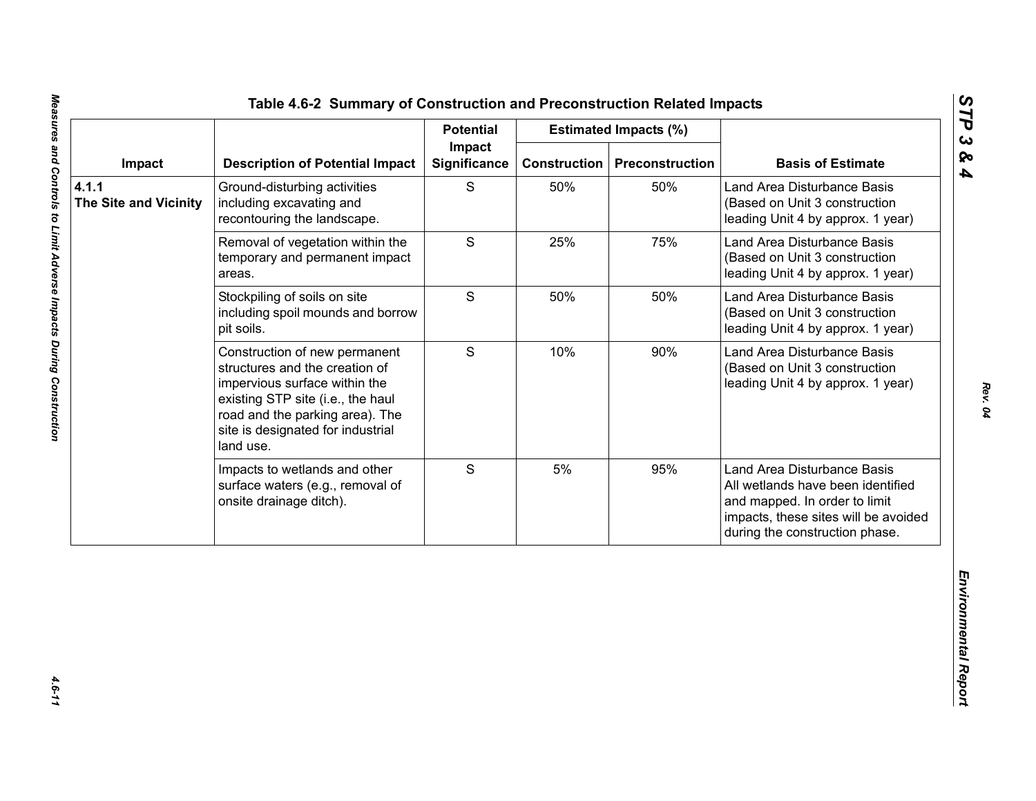|                                       |                                                                                                                                                                                                                            | <b>Potential</b>              |                     | <b>Estimated Impacts (%)</b> |                                                                                                                                                                             |
|---------------------------------------|----------------------------------------------------------------------------------------------------------------------------------------------------------------------------------------------------------------------------|-------------------------------|---------------------|------------------------------|-----------------------------------------------------------------------------------------------------------------------------------------------------------------------------|
| Impact                                | <b>Description of Potential Impact</b>                                                                                                                                                                                     | Impact<br><b>Significance</b> | <b>Construction</b> | <b>Preconstruction</b>       | <b>Basis of Estimate</b>                                                                                                                                                    |
| 4.1.1<br><b>The Site and Vicinity</b> | Ground-disturbing activities<br>including excavating and<br>recontouring the landscape.                                                                                                                                    | S                             | 50%                 | 50%                          | Land Area Disturbance Basis<br>(Based on Unit 3 construction<br>leading Unit 4 by approx. 1 year)                                                                           |
|                                       | Removal of vegetation within the<br>temporary and permanent impact<br>areas.                                                                                                                                               | S                             | 25%                 | 75%                          | Land Area Disturbance Basis<br>(Based on Unit 3 construction<br>leading Unit 4 by approx. 1 year)                                                                           |
|                                       | Stockpiling of soils on site<br>including spoil mounds and borrow<br>pit soils.                                                                                                                                            | S                             | 50%                 | 50%                          | Land Area Disturbance Basis<br>(Based on Unit 3 construction<br>leading Unit 4 by approx. 1 year)                                                                           |
|                                       | Construction of new permanent<br>structures and the creation of<br>impervious surface within the<br>existing STP site (i.e., the haul<br>road and the parking area). The<br>site is designated for industrial<br>land use. | S                             | 10%                 | 90%                          | Land Area Disturbance Basis<br>(Based on Unit 3 construction<br>leading Unit 4 by approx. 1 year)                                                                           |
|                                       | Impacts to wetlands and other<br>surface waters (e.g., removal of<br>onsite drainage ditch).                                                                                                                               | S                             | 5%                  | 95%                          | Land Area Disturbance Basis<br>All wetlands have been identified<br>and mapped. In order to limit<br>impacts, these sites will be avoided<br>during the construction phase. |

*STP 3 & 4*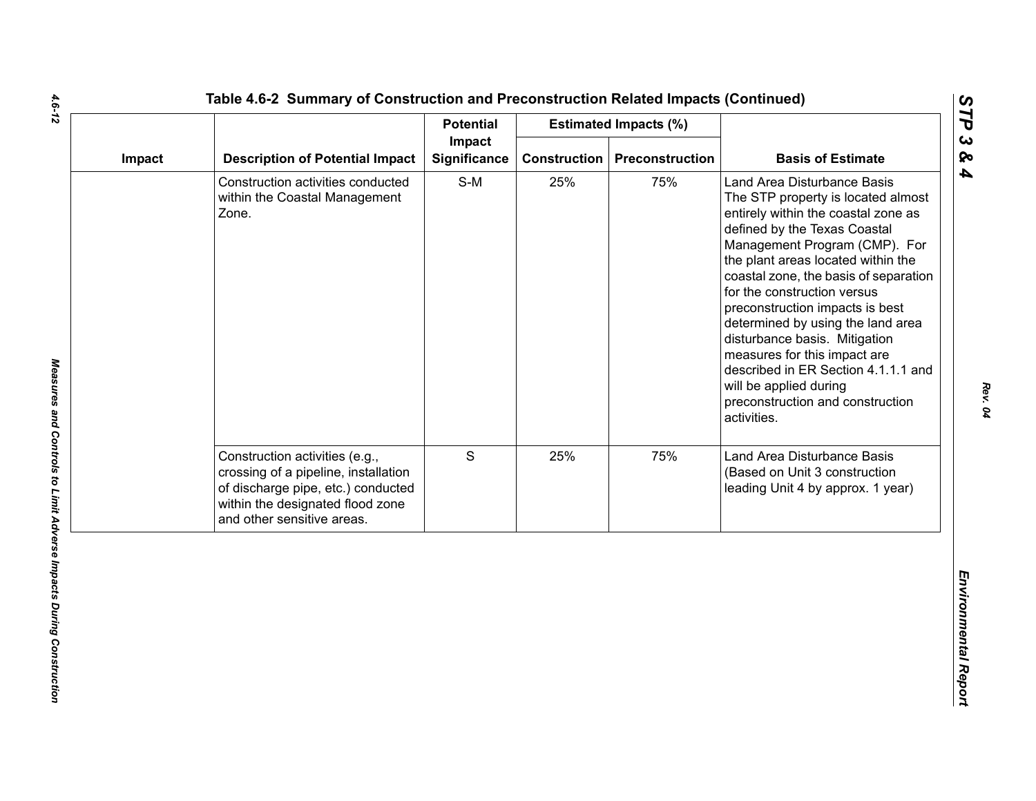|        |                                                                                                                                                                                | <b>Potential</b>              |                     | <b>Estimated Impacts (%)</b> |                                                                                                                                                                                                                                                                                                                                                                                                                                                                                                                                                      |
|--------|--------------------------------------------------------------------------------------------------------------------------------------------------------------------------------|-------------------------------|---------------------|------------------------------|------------------------------------------------------------------------------------------------------------------------------------------------------------------------------------------------------------------------------------------------------------------------------------------------------------------------------------------------------------------------------------------------------------------------------------------------------------------------------------------------------------------------------------------------------|
| Impact | <b>Description of Potential Impact</b>                                                                                                                                         | Impact<br><b>Significance</b> | <b>Construction</b> | Preconstruction              | <b>Basis of Estimate</b>                                                                                                                                                                                                                                                                                                                                                                                                                                                                                                                             |
|        | Construction activities conducted<br>within the Coastal Management<br>Zone.                                                                                                    | $S-M$                         | 25%                 | 75%                          | Land Area Disturbance Basis<br>The STP property is located almost<br>entirely within the coastal zone as<br>defined by the Texas Coastal<br>Management Program (CMP). For<br>the plant areas located within the<br>coastal zone, the basis of separation<br>for the construction versus<br>preconstruction impacts is best<br>determined by using the land area<br>disturbance basis. Mitigation<br>measures for this impact are<br>described in ER Section 4.1.1.1 and<br>will be applied during<br>preconstruction and construction<br>activities. |
|        | Construction activities (e.g.,<br>crossing of a pipeline, installation<br>of discharge pipe, etc.) conducted<br>within the designated flood zone<br>and other sensitive areas. | S                             | 25%                 | 75%                          | Land Area Disturbance Basis<br>(Based on Unit 3 construction<br>leading Unit 4 by approx. 1 year)                                                                                                                                                                                                                                                                                                                                                                                                                                                    |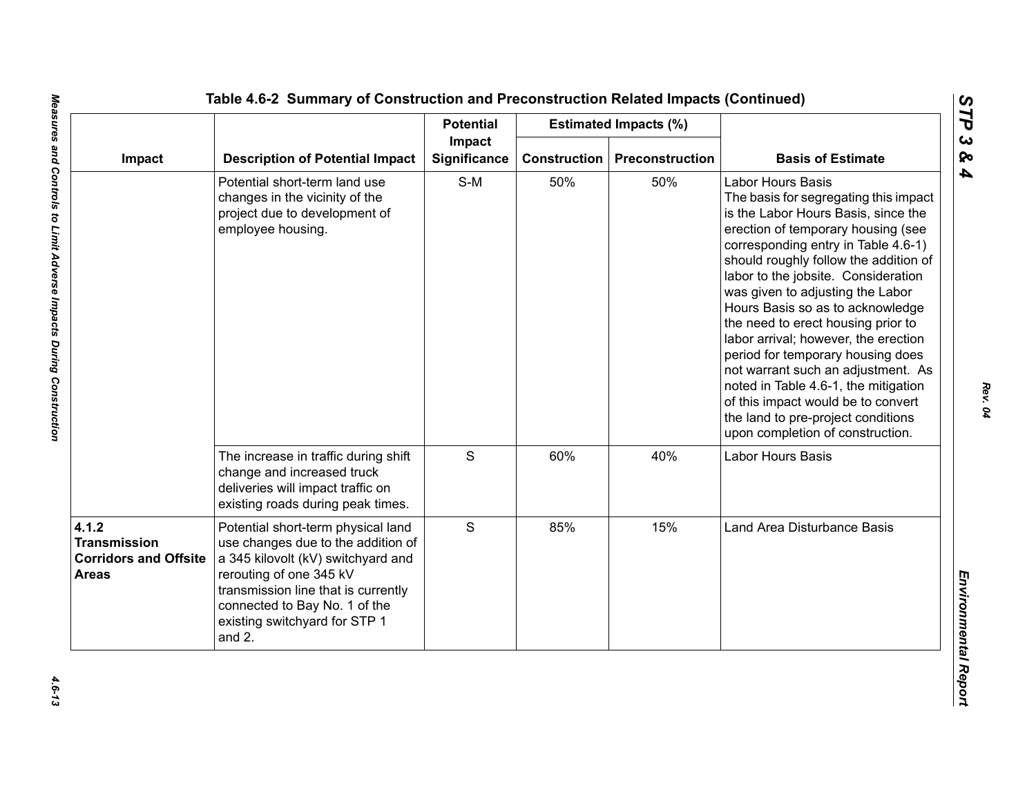|                                                                              |                                                                                                                                                                                                                                                              | <b>Potential</b>              |                     | <b>Estimated Impacts (%)</b> |                                                                                                                                                                                                                                                                                                                                                                                                                                                                                                                                                                                                                                                                |
|------------------------------------------------------------------------------|--------------------------------------------------------------------------------------------------------------------------------------------------------------------------------------------------------------------------------------------------------------|-------------------------------|---------------------|------------------------------|----------------------------------------------------------------------------------------------------------------------------------------------------------------------------------------------------------------------------------------------------------------------------------------------------------------------------------------------------------------------------------------------------------------------------------------------------------------------------------------------------------------------------------------------------------------------------------------------------------------------------------------------------------------|
| Impact                                                                       | <b>Description of Potential Impact</b>                                                                                                                                                                                                                       | Impact<br><b>Significance</b> | <b>Construction</b> | Preconstruction              | <b>Basis of Estimate</b>                                                                                                                                                                                                                                                                                                                                                                                                                                                                                                                                                                                                                                       |
|                                                                              | Potential short-term land use<br>changes in the vicinity of the<br>project due to development of<br>employee housing.                                                                                                                                        | $S-M$                         | 50%                 | 50%                          | <b>Labor Hours Basis</b><br>The basis for segregating this impact<br>is the Labor Hours Basis, since the<br>erection of temporary housing (see<br>corresponding entry in Table 4.6-1)<br>should roughly follow the addition of<br>labor to the jobsite. Consideration<br>was given to adjusting the Labor<br>Hours Basis so as to acknowledge<br>the need to erect housing prior to<br>labor arrival; however, the erection<br>period for temporary housing does<br>not warrant such an adjustment. As<br>noted in Table 4.6-1, the mitigation<br>of this impact would be to convert<br>the land to pre-project conditions<br>upon completion of construction. |
|                                                                              | The increase in traffic during shift<br>change and increased truck<br>deliveries will impact traffic on<br>existing roads during peak times.                                                                                                                 | $\mathsf S$                   | 60%                 | 40%                          | Labor Hours Basis                                                                                                                                                                                                                                                                                                                                                                                                                                                                                                                                                                                                                                              |
| 4.1.2<br><b>Transmission</b><br><b>Corridors and Offsite</b><br><b>Areas</b> | Potential short-term physical land<br>use changes due to the addition of<br>a 345 kilovolt (kV) switchyard and<br>rerouting of one 345 kV<br>transmission line that is currently<br>connected to Bay No. 1 of the<br>existing switchyard for STP 1<br>and 2. | S                             | 85%                 | 15%                          | Land Area Disturbance Basis                                                                                                                                                                                                                                                                                                                                                                                                                                                                                                                                                                                                                                    |

*STP 3 & 4*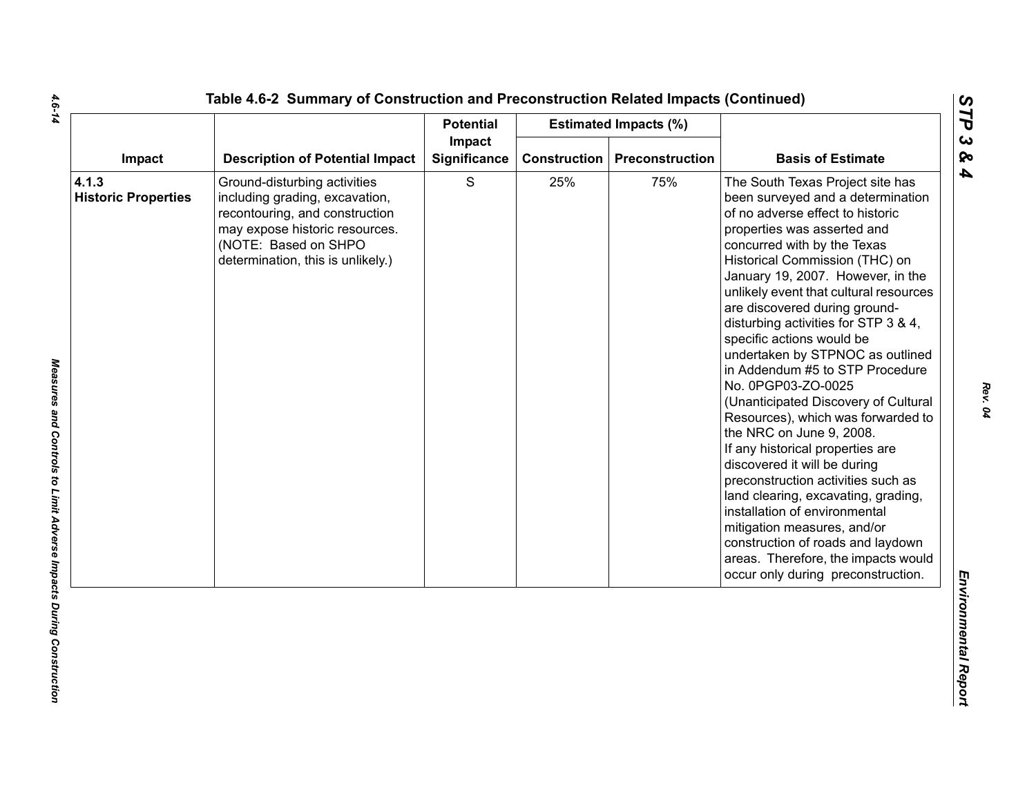|                                     |                                                                                                                                                                                                 | <b>Potential</b>       |              | <b>Estimated Impacts (%)</b> |                                                                                                                                                                                                                                                                                                                                                                                                                                                                                                                                                                                                                                                                                                                                                                                                                                                                                                                                          |
|-------------------------------------|-------------------------------------------------------------------------------------------------------------------------------------------------------------------------------------------------|------------------------|--------------|------------------------------|------------------------------------------------------------------------------------------------------------------------------------------------------------------------------------------------------------------------------------------------------------------------------------------------------------------------------------------------------------------------------------------------------------------------------------------------------------------------------------------------------------------------------------------------------------------------------------------------------------------------------------------------------------------------------------------------------------------------------------------------------------------------------------------------------------------------------------------------------------------------------------------------------------------------------------------|
| Impact                              | <b>Description of Potential Impact</b>                                                                                                                                                          | Impact<br>Significance | Construction | <b>Preconstruction</b>       | <b>Basis of Estimate</b>                                                                                                                                                                                                                                                                                                                                                                                                                                                                                                                                                                                                                                                                                                                                                                                                                                                                                                                 |
| 4.1.3<br><b>Historic Properties</b> | Ground-disturbing activities<br>including grading, excavation,<br>recontouring, and construction<br>may expose historic resources.<br>(NOTE: Based on SHPO<br>determination, this is unlikely.) | $\mathbf S$            | 25%          | 75%                          | The South Texas Project site has<br>been surveyed and a determination<br>of no adverse effect to historic<br>properties was asserted and<br>concurred with by the Texas<br>Historical Commission (THC) on<br>January 19, 2007. However, in the<br>unlikely event that cultural resources<br>are discovered during ground-<br>disturbing activities for STP 3 & 4,<br>specific actions would be<br>undertaken by STPNOC as outlined<br>in Addendum #5 to STP Procedure<br>No. 0PGP03-ZO-0025<br>(Unanticipated Discovery of Cultural<br>Resources), which was forwarded to<br>the NRC on June 9, 2008.<br>If any historical properties are<br>discovered it will be during<br>preconstruction activities such as<br>land clearing, excavating, grading,<br>installation of environmental<br>mitigation measures, and/or<br>construction of roads and laydown<br>areas. Therefore, the impacts would<br>occur only during preconstruction. |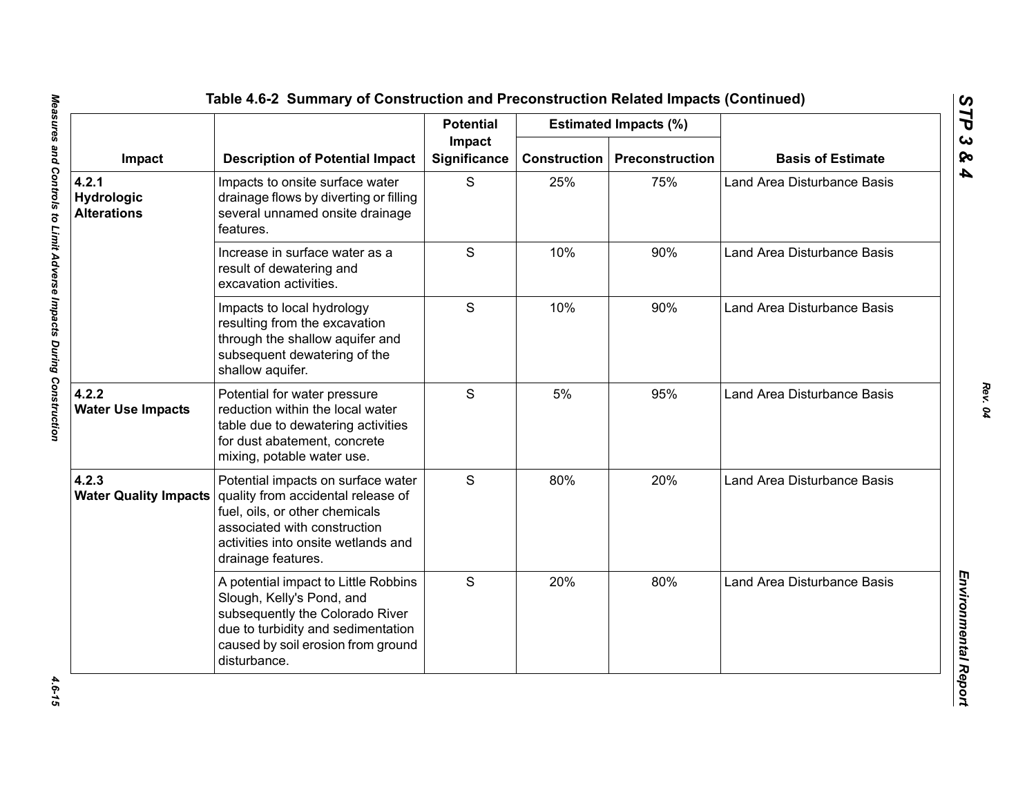|                                           | <b>Description of Potential Impact</b>                                                                                                                                                                  | <b>Potential</b><br>Impact<br><b>Significance</b> |                     | <b>Estimated Impacts (%)</b> | <b>Basis of Estimate</b>    |
|-------------------------------------------|---------------------------------------------------------------------------------------------------------------------------------------------------------------------------------------------------------|---------------------------------------------------|---------------------|------------------------------|-----------------------------|
| Impact                                    |                                                                                                                                                                                                         |                                                   | <b>Construction</b> | Preconstruction              |                             |
| 4.2.1<br>Hydrologic<br><b>Alterations</b> | Impacts to onsite surface water<br>drainage flows by diverting or filling<br>several unnamed onsite drainage<br>features.                                                                               | S                                                 | 25%                 | 75%                          | Land Area Disturbance Basis |
|                                           | Increase in surface water as a<br>result of dewatering and<br>excavation activities.                                                                                                                    | S                                                 | 10%                 | 90%                          | Land Area Disturbance Basis |
|                                           | Impacts to local hydrology<br>resulting from the excavation<br>through the shallow aquifer and<br>subsequent dewatering of the<br>shallow aquifer.                                                      | S                                                 | 10%                 | 90%                          | Land Area Disturbance Basis |
| 4.2.2<br><b>Water Use Impacts</b>         | Potential for water pressure<br>reduction within the local water<br>table due to dewatering activities<br>for dust abatement, concrete<br>mixing, potable water use.                                    | S                                                 | 5%                  | 95%                          | Land Area Disturbance Basis |
| 4.2.3<br><b>Water Quality Impacts</b>     | Potential impacts on surface water<br>quality from accidental release of<br>fuel, oils, or other chemicals<br>associated with construction<br>activities into onsite wetlands and<br>drainage features. | S                                                 | 80%                 | 20%                          | Land Area Disturbance Basis |
|                                           | A potential impact to Little Robbins<br>Slough, Kelly's Pond, and<br>subsequently the Colorado River<br>due to turbidity and sedimentation<br>caused by soil erosion from ground<br>disturbance.        | S                                                 | 20%                 | 80%                          | Land Area Disturbance Basis |

4.6-15

*STP 3 & 4*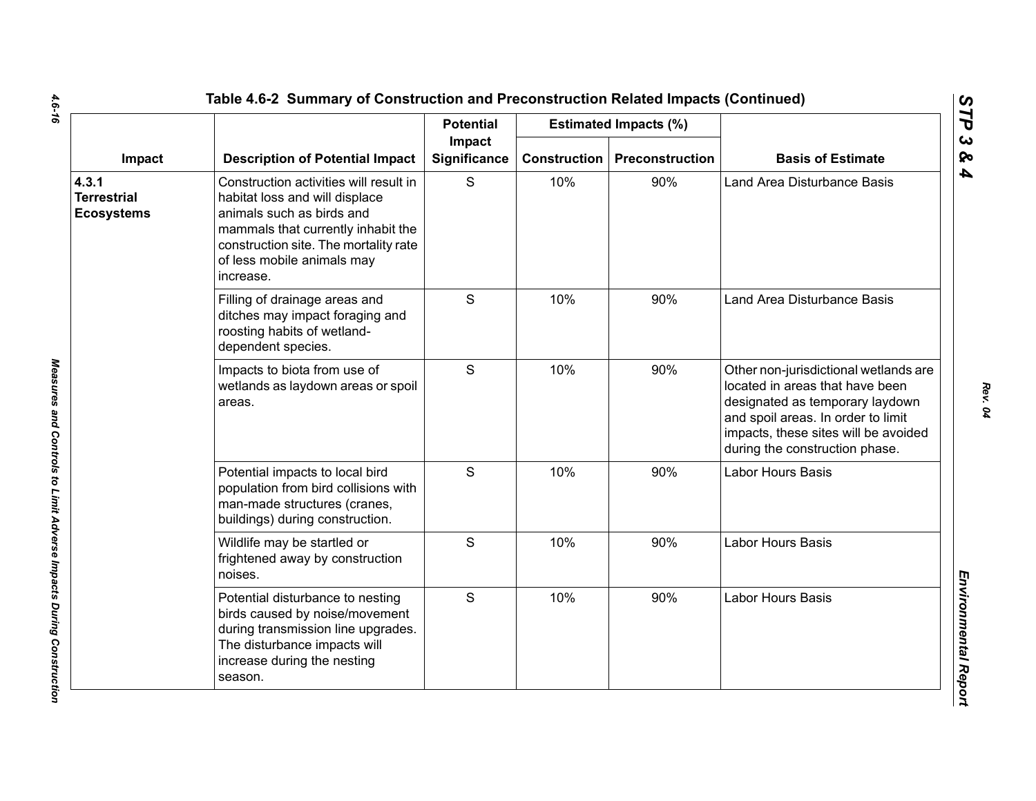|                                                  |                                                                                                                                                                                                                                 | <b>Potential</b>       |                     | <b>Estimated Impacts (%)</b> |                                                                                                                                                                                                                             |
|--------------------------------------------------|---------------------------------------------------------------------------------------------------------------------------------------------------------------------------------------------------------------------------------|------------------------|---------------------|------------------------------|-----------------------------------------------------------------------------------------------------------------------------------------------------------------------------------------------------------------------------|
| Impact                                           | <b>Description of Potential Impact</b>                                                                                                                                                                                          | Impact<br>Significance | <b>Construction</b> | Preconstruction              | <b>Basis of Estimate</b>                                                                                                                                                                                                    |
| 4.3.1<br><b>Terrestrial</b><br><b>Ecosystems</b> | Construction activities will result in<br>habitat loss and will displace<br>animals such as birds and<br>mammals that currently inhabit the<br>construction site. The mortality rate<br>of less mobile animals may<br>increase. | S                      | 10%                 | 90%                          | Land Area Disturbance Basis                                                                                                                                                                                                 |
|                                                  | Filling of drainage areas and<br>ditches may impact foraging and<br>roosting habits of wetland-<br>dependent species.                                                                                                           | S                      | 10%                 | 90%                          | Land Area Disturbance Basis                                                                                                                                                                                                 |
|                                                  | Impacts to biota from use of<br>wetlands as laydown areas or spoil<br>areas.                                                                                                                                                    | S                      | 10%                 | 90%                          | Other non-jurisdictional wetlands are<br>located in areas that have been<br>designated as temporary laydown<br>and spoil areas. In order to limit<br>impacts, these sites will be avoided<br>during the construction phase. |
|                                                  | Potential impacts to local bird<br>population from bird collisions with<br>man-made structures (cranes,<br>buildings) during construction.                                                                                      | S                      | 10%                 | 90%                          | Labor Hours Basis                                                                                                                                                                                                           |
|                                                  | Wildlife may be startled or<br>frightened away by construction<br>noises.                                                                                                                                                       | $\mathsf{S}$           | 10%                 | 90%                          | Labor Hours Basis                                                                                                                                                                                                           |
|                                                  | Potential disturbance to nesting<br>birds caused by noise/movement<br>during transmission line upgrades.<br>The disturbance impacts will<br>increase during the nesting<br>season.                                              | $\mathsf{S}$           | 10%                 | 90%                          | <b>Labor Hours Basis</b>                                                                                                                                                                                                    |

 $\mathbf{r}$ 

*Rev. 04*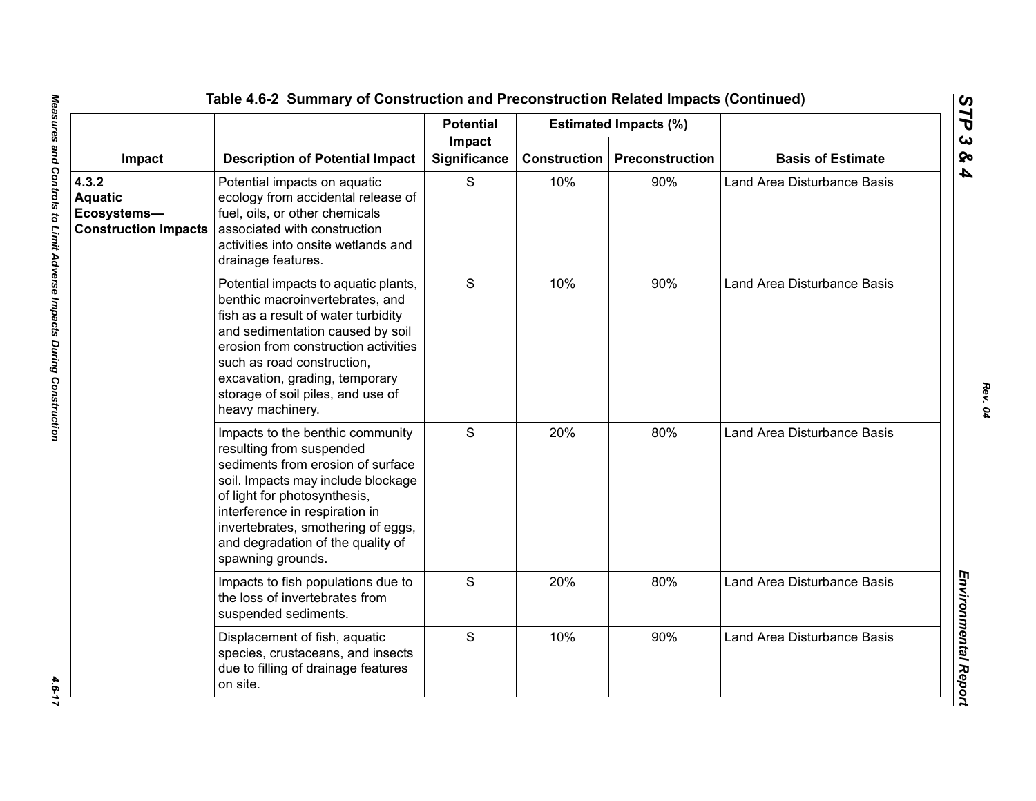|                                                                       |                                                                                                                                                                                                                                                                                                                     | <b>Potential</b>       |                     | <b>Estimated Impacts (%)</b> |                                    |
|-----------------------------------------------------------------------|---------------------------------------------------------------------------------------------------------------------------------------------------------------------------------------------------------------------------------------------------------------------------------------------------------------------|------------------------|---------------------|------------------------------|------------------------------------|
| Impact                                                                | <b>Description of Potential Impact</b>                                                                                                                                                                                                                                                                              | Impact<br>Significance | <b>Construction</b> | Preconstruction              | <b>Basis of Estimate</b>           |
| 4.3.2<br><b>Aquatic</b><br>Ecosystems-<br><b>Construction Impacts</b> | Potential impacts on aquatic<br>ecology from accidental release of<br>fuel, oils, or other chemicals<br>associated with construction<br>activities into onsite wetlands and<br>drainage features.                                                                                                                   | S                      | 10%                 | 90%                          | <b>Land Area Disturbance Basis</b> |
|                                                                       | Potential impacts to aquatic plants,<br>benthic macroinvertebrates, and<br>fish as a result of water turbidity<br>and sedimentation caused by soil<br>erosion from construction activities<br>such as road construction,<br>excavation, grading, temporary<br>storage of soil piles, and use of<br>heavy machinery. | S                      | 10%                 | 90%                          | Land Area Disturbance Basis        |
|                                                                       | Impacts to the benthic community<br>resulting from suspended<br>sediments from erosion of surface<br>soil. Impacts may include blockage<br>of light for photosynthesis,<br>interference in respiration in<br>invertebrates, smothering of eggs,<br>and degradation of the quality of<br>spawning grounds.           | S                      | 20%                 | 80%                          | <b>Land Area Disturbance Basis</b> |
|                                                                       | Impacts to fish populations due to<br>the loss of invertebrates from<br>suspended sediments.                                                                                                                                                                                                                        | S                      | 20%                 | 80%                          | <b>Land Area Disturbance Basis</b> |
|                                                                       | Displacement of fish, aquatic<br>species, crustaceans, and insects<br>due to filling of drainage features<br>on site.                                                                                                                                                                                               | S                      | 10%                 | 90%                          | Land Area Disturbance Basis        |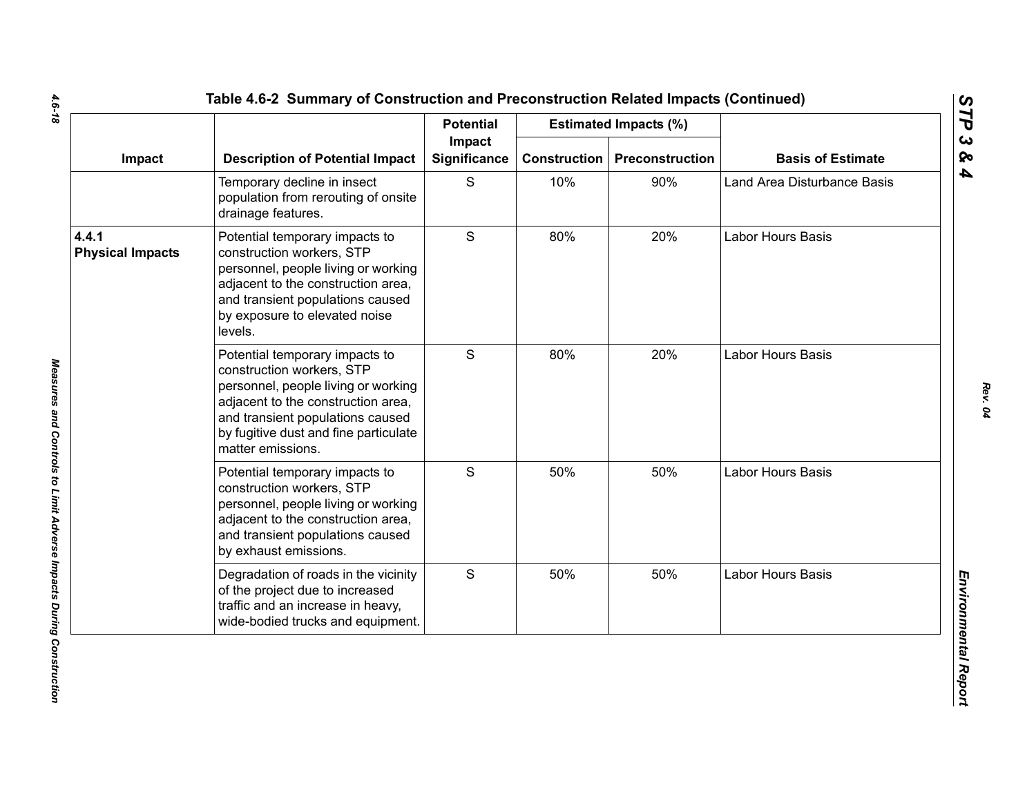|                                  |                                                                                                                                                                                                                                            | <b>Potential</b><br>Impact |     | <b>Estimated Impacts (%)</b>          |                             |
|----------------------------------|--------------------------------------------------------------------------------------------------------------------------------------------------------------------------------------------------------------------------------------------|----------------------------|-----|---------------------------------------|-----------------------------|
| Impact                           | <b>Description of Potential Impact</b>                                                                                                                                                                                                     | Significance               |     | <b>Construction   Preconstruction</b> | <b>Basis of Estimate</b>    |
|                                  | Temporary decline in insect<br>population from rerouting of onsite<br>drainage features.                                                                                                                                                   | S                          | 10% | 90%                                   | Land Area Disturbance Basis |
| 4.4.1<br><b>Physical Impacts</b> | Potential temporary impacts to<br>construction workers, STP<br>personnel, people living or working<br>adjacent to the construction area,<br>and transient populations caused<br>by exposure to elevated noise<br>levels.                   | S                          | 80% | 20%                                   | Labor Hours Basis           |
|                                  | Potential temporary impacts to<br>construction workers, STP<br>personnel, people living or working<br>adjacent to the construction area,<br>and transient populations caused<br>by fugitive dust and fine particulate<br>matter emissions. | S                          | 80% | 20%                                   | <b>Labor Hours Basis</b>    |
|                                  | Potential temporary impacts to<br>construction workers, STP<br>personnel, people living or working<br>adjacent to the construction area,<br>and transient populations caused<br>by exhaust emissions.                                      | S                          | 50% | 50%                                   | <b>Labor Hours Basis</b>    |
|                                  | Degradation of roads in the vicinity<br>of the project due to increased<br>traffic and an increase in heavy,<br>wide-bodied trucks and equipment.                                                                                          | S                          | 50% | 50%                                   | <b>Labor Hours Basis</b>    |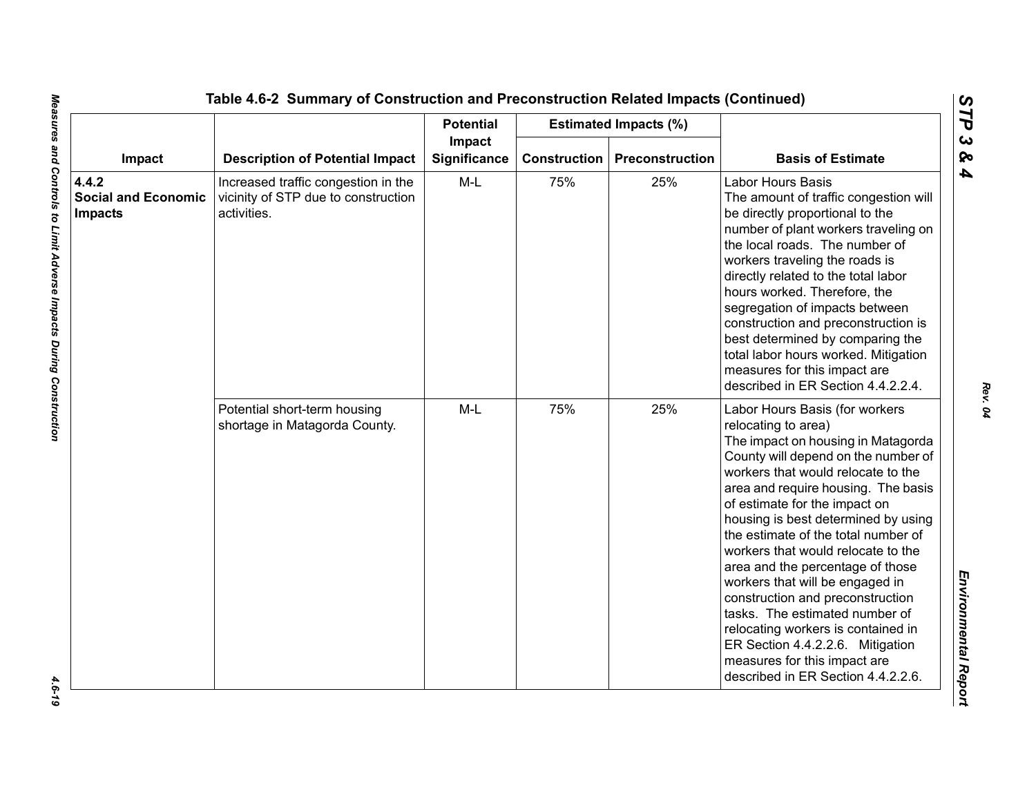|                                                       |                                                                                           | <b>Potential</b>              |                     | <b>Estimated Impacts (%)</b> |                                                                                                                                                                                                                                                                                                                                                                                                                                                                                                                                                                                                                                                                   |
|-------------------------------------------------------|-------------------------------------------------------------------------------------------|-------------------------------|---------------------|------------------------------|-------------------------------------------------------------------------------------------------------------------------------------------------------------------------------------------------------------------------------------------------------------------------------------------------------------------------------------------------------------------------------------------------------------------------------------------------------------------------------------------------------------------------------------------------------------------------------------------------------------------------------------------------------------------|
| Impact                                                | <b>Description of Potential Impact</b>                                                    | Impact<br><b>Significance</b> | <b>Construction</b> | Preconstruction              | <b>Basis of Estimate</b>                                                                                                                                                                                                                                                                                                                                                                                                                                                                                                                                                                                                                                          |
| 4.4.2<br><b>Social and Economic</b><br><b>Impacts</b> | Increased traffic congestion in the<br>vicinity of STP due to construction<br>activities. | $M-L$                         | 75%                 | 25%                          | Labor Hours Basis<br>The amount of traffic congestion will<br>be directly proportional to the<br>number of plant workers traveling on<br>the local roads. The number of<br>workers traveling the roads is<br>directly related to the total labor<br>hours worked. Therefore, the<br>segregation of impacts between<br>construction and preconstruction is<br>best determined by comparing the<br>total labor hours worked. Mitigation<br>measures for this impact are<br>described in ER Section 4.4.2.2.4.                                                                                                                                                       |
|                                                       | Potential short-term housing<br>shortage in Matagorda County.                             | $M-L$                         | 75%                 | 25%                          | Labor Hours Basis (for workers<br>relocating to area)<br>The impact on housing in Matagorda<br>County will depend on the number of<br>workers that would relocate to the<br>area and require housing. The basis<br>of estimate for the impact on<br>housing is best determined by using<br>the estimate of the total number of<br>workers that would relocate to the<br>area and the percentage of those<br>workers that will be engaged in<br>construction and preconstruction<br>tasks. The estimated number of<br>relocating workers is contained in<br>ER Section 4.4.2.2.6. Mitigation<br>measures for this impact are<br>described in ER Section 4.4.2.2.6. |

 $-4.6 - 19$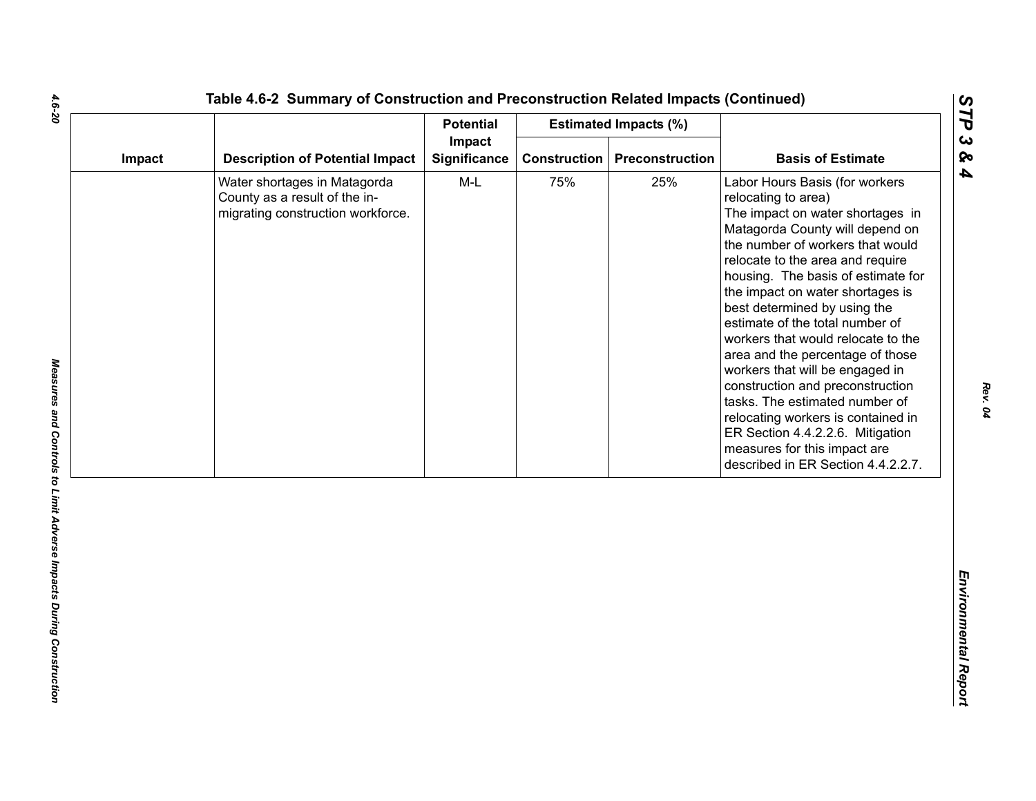| Impact | <b>Potential</b>                                                                                   |                        | <b>Estimated Impacts (%)</b> |                 |                                                                                                                                                                                                                                                                                                                                                                                                                                                                                                                                                                                                                                                                                      |
|--------|----------------------------------------------------------------------------------------------------|------------------------|------------------------------|-----------------|--------------------------------------------------------------------------------------------------------------------------------------------------------------------------------------------------------------------------------------------------------------------------------------------------------------------------------------------------------------------------------------------------------------------------------------------------------------------------------------------------------------------------------------------------------------------------------------------------------------------------------------------------------------------------------------|
|        | <b>Description of Potential Impact</b>                                                             | Impact<br>Significance | <b>Construction</b>          | Preconstruction | <b>Basis of Estimate</b>                                                                                                                                                                                                                                                                                                                                                                                                                                                                                                                                                                                                                                                             |
|        | Water shortages in Matagorda<br>County as a result of the in-<br>migrating construction workforce. | $M-L$                  | 75%                          | 25%             | Labor Hours Basis (for workers<br>relocating to area)<br>The impact on water shortages in<br>Matagorda County will depend on<br>the number of workers that would<br>relocate to the area and require<br>housing. The basis of estimate for<br>the impact on water shortages is<br>best determined by using the<br>estimate of the total number of<br>workers that would relocate to the<br>area and the percentage of those<br>workers that will be engaged in<br>construction and preconstruction<br>tasks. The estimated number of<br>relocating workers is contained in<br>ER Section 4.4.2.2.6. Mitigation<br>measures for this impact are<br>described in ER Section 4.4.2.2.7. |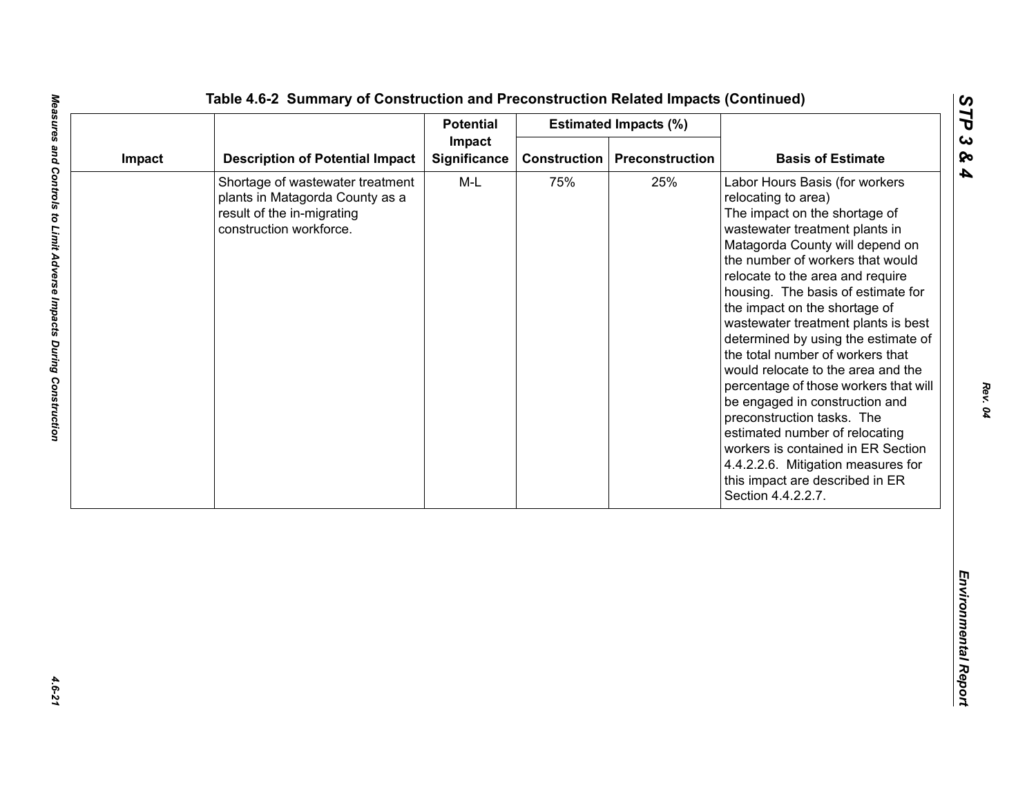| Impact<br><b>Description of Potential Impact</b><br><b>Significance</b><br><b>Construction</b><br>Preconstruction<br>Impact<br>$M-L$<br>75%<br>25%<br>Shortage of wastewater treatment<br>plants in Matagorda County as a<br>result of the in-migrating<br>construction workforce. | <b>Basis of Estimate</b><br>Labor Hours Basis (for workers<br>relocating to area)<br>The impact on the shortage of<br>wastewater treatment plants in<br>Matagorda County will depend on<br>the number of workers that would<br>relocate to the area and require                                                                                                                                                                                                                                             |
|------------------------------------------------------------------------------------------------------------------------------------------------------------------------------------------------------------------------------------------------------------------------------------|-------------------------------------------------------------------------------------------------------------------------------------------------------------------------------------------------------------------------------------------------------------------------------------------------------------------------------------------------------------------------------------------------------------------------------------------------------------------------------------------------------------|
|                                                                                                                                                                                                                                                                                    |                                                                                                                                                                                                                                                                                                                                                                                                                                                                                                             |
|                                                                                                                                                                                                                                                                                    | housing. The basis of estimate for<br>the impact on the shortage of<br>wastewater treatment plants is best<br>determined by using the estimate of<br>the total number of workers that<br>would relocate to the area and the<br>percentage of those workers that will<br>be engaged in construction and<br>preconstruction tasks. The<br>estimated number of relocating<br>workers is contained in ER Section<br>4.4.2.2.6. Mitigation measures for<br>this impact are described in ER<br>Section 4.4.2.2.7. |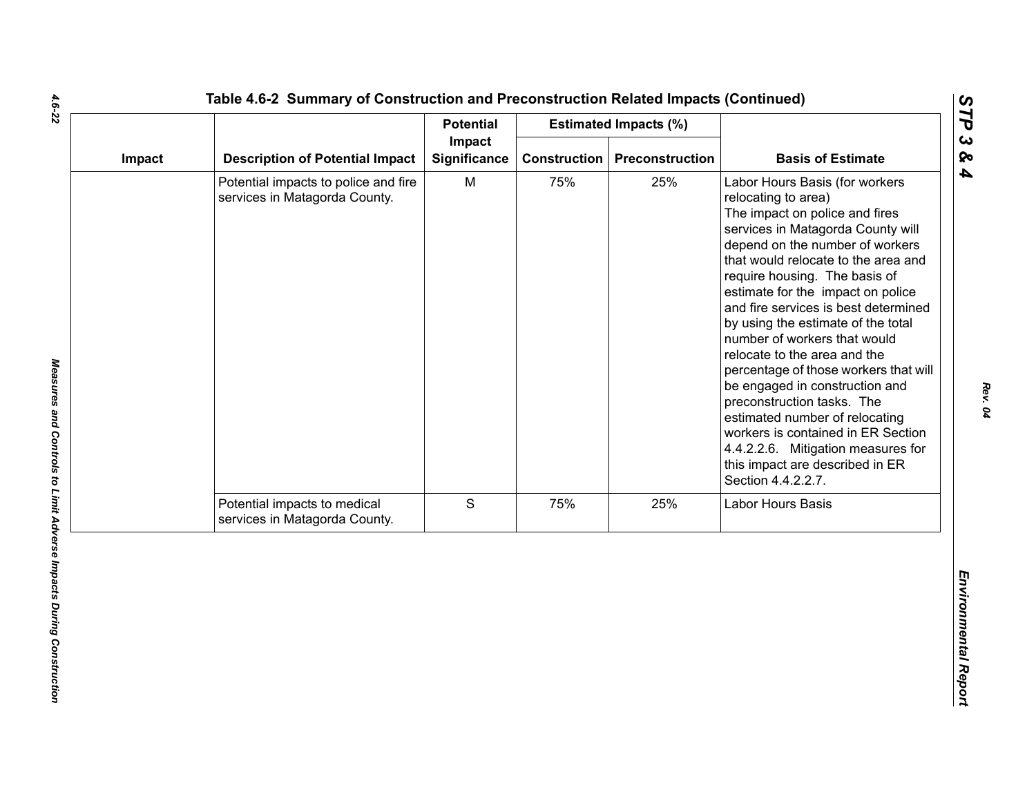|                                                                       | <b>Potential</b>    |        |     |                                                                                                                                                                                                                                                                                                                                                                                                                                                                                                                                                                                                                                                                                                            |
|-----------------------------------------------------------------------|---------------------|--------|-----|------------------------------------------------------------------------------------------------------------------------------------------------------------------------------------------------------------------------------------------------------------------------------------------------------------------------------------------------------------------------------------------------------------------------------------------------------------------------------------------------------------------------------------------------------------------------------------------------------------------------------------------------------------------------------------------------------------|
| <b>Description of Potential Impact</b>                                | <b>Significance</b> |        |     | <b>Basis of Estimate</b>                                                                                                                                                                                                                                                                                                                                                                                                                                                                                                                                                                                                                                                                                   |
| Potential impacts to police and fire<br>services in Matagorda County. | M                   | 75%    | 25% | Labor Hours Basis (for workers<br>relocating to area)<br>The impact on police and fires<br>services in Matagorda County will<br>depend on the number of workers<br>that would relocate to the area and<br>require housing. The basis of<br>estimate for the impact on police<br>and fire services is best determined<br>by using the estimate of the total<br>number of workers that would<br>relocate to the area and the<br>percentage of those workers that will<br>be engaged in construction and<br>preconstruction tasks. The<br>estimated number of relocating<br>workers is contained in ER Section<br>4.4.2.2.6. Mitigation measures for<br>this impact are described in ER<br>Section 4.4.2.2.7. |
| Potential impacts to medical<br>services in Matagorda County.         | S                   | 75%    | 25% | Labor Hours Basis                                                                                                                                                                                                                                                                                                                                                                                                                                                                                                                                                                                                                                                                                          |
|                                                                       |                     |        |     |                                                                                                                                                                                                                                                                                                                                                                                                                                                                                                                                                                                                                                                                                                            |
|                                                                       |                     | Impact |     | <b>Estimated Impacts (%)</b><br><b>Construction</b><br>Preconstruction                                                                                                                                                                                                                                                                                                                                                                                                                                                                                                                                                                                                                                     |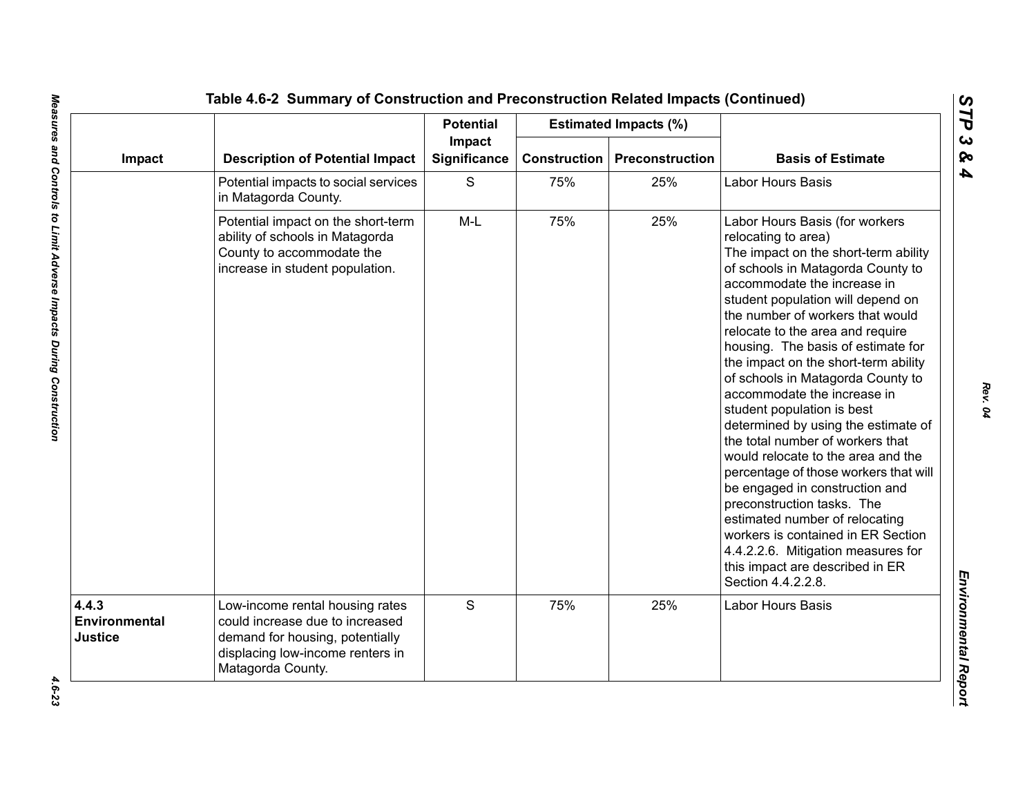|                                   |                                                                                                                                                                | <b>Potential</b> |                        | <b>Estimated Impacts (%)</b> |                                                                                                                                                                                                                                                                                                                                                                                                                                                                                                                                                                                                                                                                                                                                                                                                                                                                 |                          |
|-----------------------------------|----------------------------------------------------------------------------------------------------------------------------------------------------------------|------------------|------------------------|------------------------------|-----------------------------------------------------------------------------------------------------------------------------------------------------------------------------------------------------------------------------------------------------------------------------------------------------------------------------------------------------------------------------------------------------------------------------------------------------------------------------------------------------------------------------------------------------------------------------------------------------------------------------------------------------------------------------------------------------------------------------------------------------------------------------------------------------------------------------------------------------------------|--------------------------|
| Impact                            | <b>Description of Potential Impact</b>                                                                                                                         |                  | Impact<br>Significance | <b>Construction</b>          | <b>Preconstruction</b>                                                                                                                                                                                                                                                                                                                                                                                                                                                                                                                                                                                                                                                                                                                                                                                                                                          | <b>Basis of Estimate</b> |
|                                   | Potential impacts to social services<br>in Matagorda County.                                                                                                   | S                | 75%                    | 25%                          | Labor Hours Basis                                                                                                                                                                                                                                                                                                                                                                                                                                                                                                                                                                                                                                                                                                                                                                                                                                               |                          |
|                                   | Potential impact on the short-term<br>ability of schools in Matagorda<br>County to accommodate the<br>increase in student population.                          | $M-L$            | 75%                    | 25%                          | Labor Hours Basis (for workers<br>relocating to area)<br>The impact on the short-term ability<br>of schools in Matagorda County to<br>accommodate the increase in<br>student population will depend on<br>the number of workers that would<br>relocate to the area and require<br>housing. The basis of estimate for<br>the impact on the short-term ability<br>of schools in Matagorda County to<br>accommodate the increase in<br>student population is best<br>determined by using the estimate of<br>the total number of workers that<br>would relocate to the area and the<br>percentage of those workers that will<br>be engaged in construction and<br>preconstruction tasks. The<br>estimated number of relocating<br>workers is contained in ER Section<br>4.4.2.2.6. Mitigation measures for<br>this impact are described in ER<br>Section 4.4.2.2.8. |                          |
| 4.4.3<br>Environmental<br>Justice | Low-income rental housing rates<br>could increase due to increased<br>demand for housing, potentially<br>displacing low-income renters in<br>Matagorda County. | S                | 75%                    | 25%                          | Labor Hours Basis                                                                                                                                                                                                                                                                                                                                                                                                                                                                                                                                                                                                                                                                                                                                                                                                                                               |                          |

*STP 3 & 4*